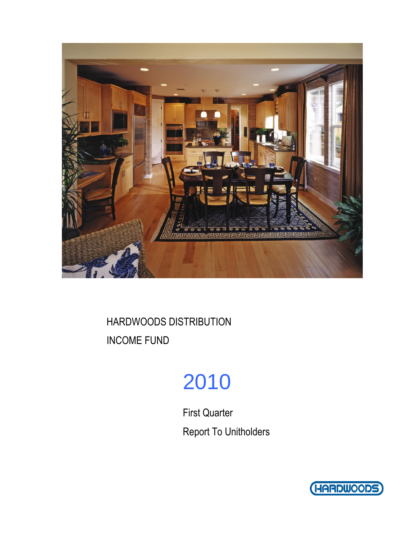

# 2010

First Quarter Report To Unitholders

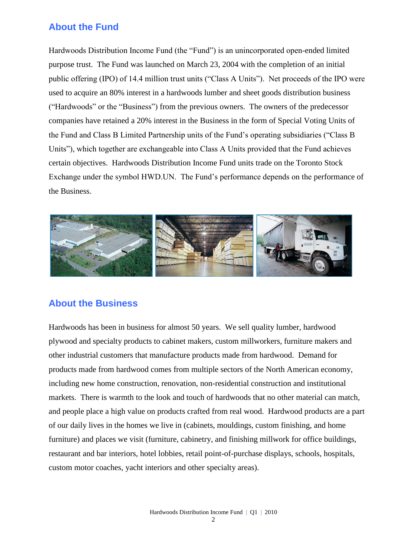### **About the Fund**

Hardwoods Distribution Income Fund (the "Fund") is an unincorporated open-ended limited purpose trust. The Fund was launched on March 23, 2004 with the completion of an initial public offering (IPO) of 14.4 million trust units ("Class A Units"). Net proceeds of the IPO were used to acquire an 80% interest in a hardwoods lumber and sheet goods distribution business ("Hardwoods" or the "Business") from the previous owners. The owners of the predecessor companies have retained a 20% interest in the Business in the form of Special Voting Units of the Fund and Class B Limited Partnership units of the Fund's operating subsidiaries ("Class B Units"), which together are exchangeable into Class A Units provided that the Fund achieves certain objectives. Hardwoods Distribution Income Fund units trade on the Toronto Stock Exchange under the symbol HWD.UN. The Fund's performance depends on the performance of the Business.



### **About the Business**

Hardwoods has been in business for almost 50 years. We sell quality lumber, hardwood plywood and specialty products to cabinet makers, custom millworkers, furniture makers and other industrial customers that manufacture products made from hardwood. Demand for products made from hardwood comes from multiple sectors of the North American economy, including new home construction, renovation, non-residential construction and institutional markets. There is warmth to the look and touch of hardwoods that no other material can match, and people place a high value on products crafted from real wood. Hardwood products are a part of our daily lives in the homes we live in (cabinets, mouldings, custom finishing, and home furniture) and places we visit (furniture, cabinetry, and finishing millwork for office buildings, restaurant and bar interiors, hotel lobbies, retail point-of-purchase displays, schools, hospitals, custom motor coaches, yacht interiors and other specialty areas).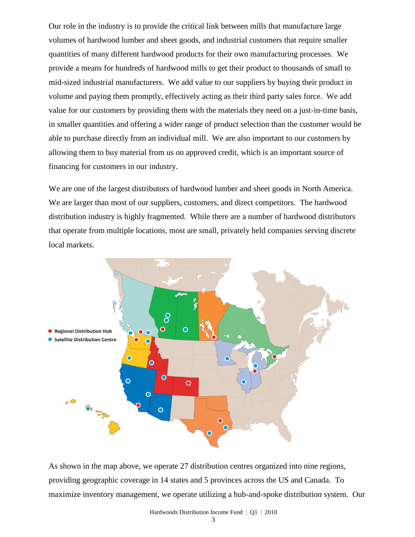Our role in the industry is to provide the critical link between mills that manufacture large volumes of hardwood lumber and sheet goods, and industrial customers that require smaller quantities of many different hardwood products for their own manufacturing processes. We provide a means for hundreds of hardwood mills to get their product to thousands of small to mid-sized industrial manufacturers. We add value to our suppliers by buying their product in volume and paying them promptly, effectively acting as their third party sales force. We add value for our customers by providing them with the materials they need on a just-in-time basis, in smaller quantities and offering a wider range of product selection than the customer would be able to purchase directly from an individual mill. We are also important to our customers by allowing them to buy material from us on approved credit, which is an important source of financing for customers in our industry.

We are one of the largest distributors of hardwood lumber and sheet goods in North America. We are larger than most of our suppliers, customers, and direct competitors. The hardwood distribution industry is highly fragmented. While there are a number of hardwood distributors that operate from multiple locations, most are small, privately held companies serving discrete local markets.



As shown in the map above, we operate 27 distribution centres organized into nine regions, providing geographic coverage in 14 states and 5 provinces across the US and Canada. To maximize inventory management, we operate utilizing a hub-and-spoke distribution system. Our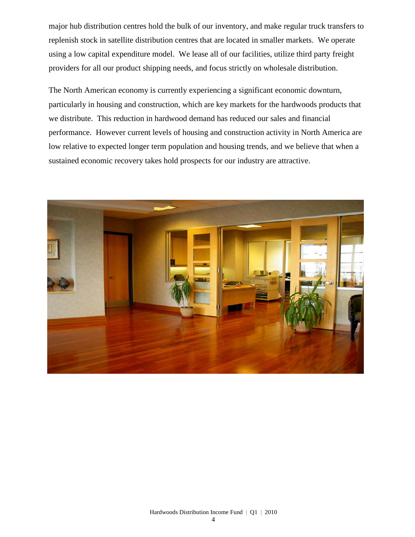major hub distribution centres hold the bulk of our inventory, and make regular truck transfers to replenish stock in satellite distribution centres that are located in smaller markets. We operate using a low capital expenditure model. We lease all of our facilities, utilize third party freight providers for all our product shipping needs, and focus strictly on wholesale distribution.

The North American economy is currently experiencing a significant economic downturn, particularly in housing and construction, which are key markets for the hardwoods products that we distribute. This reduction in hardwood demand has reduced our sales and financial performance. However current levels of housing and construction activity in North America are low relative to expected longer term population and housing trends, and we believe that when a sustained economic recovery takes hold prospects for our industry are attractive.

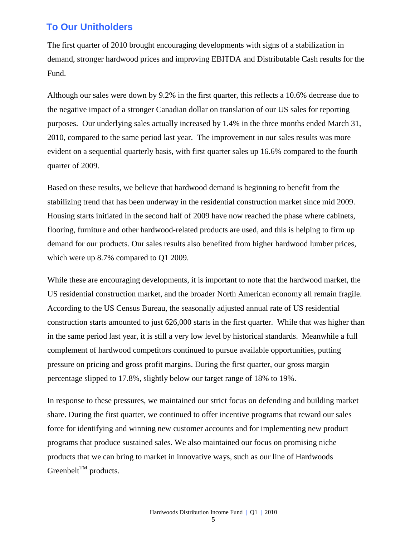## **To Our Unitholders**

The first quarter of 2010 brought encouraging developments with signs of a stabilization in demand, stronger hardwood prices and improving EBITDA and Distributable Cash results for the Fund.

Although our sales were down by 9.2% in the first quarter, this reflects a 10.6% decrease due to the negative impact of a stronger Canadian dollar on translation of our US sales for reporting purposes. Our underlying sales actually increased by 1.4% in the three months ended March 31, 2010, compared to the same period last year. The improvement in our sales results was more evident on a sequential quarterly basis, with first quarter sales up 16.6% compared to the fourth quarter of 2009.

Based on these results, we believe that hardwood demand is beginning to benefit from the stabilizing trend that has been underway in the residential construction market since mid 2009. Housing starts initiated in the second half of 2009 have now reached the phase where cabinets, flooring, furniture and other hardwood-related products are used, and this is helping to firm up demand for our products. Our sales results also benefited from higher hardwood lumber prices, which were up 8.7% compared to O1 2009.

While these are encouraging developments, it is important to note that the hardwood market, the US residential construction market, and the broader North American economy all remain fragile. According to the US Census Bureau, the seasonally adjusted annual rate of US residential construction starts amounted to just 626,000 starts in the first quarter. While that was higher than in the same period last year, it is still a very low level by historical standards. Meanwhile a full complement of hardwood competitors continued to pursue available opportunities, putting pressure on pricing and gross profit margins. During the first quarter, our gross margin percentage slipped to 17.8%, slightly below our target range of 18% to 19%.

In response to these pressures, we maintained our strict focus on defending and building market share. During the first quarter, we continued to offer incentive programs that reward our sales force for identifying and winning new customer accounts and for implementing new product programs that produce sustained sales. We also maintained our focus on promising niche products that we can bring to market in innovative ways, such as our line of Hardwoods Greenbelt<sup>TM</sup> products.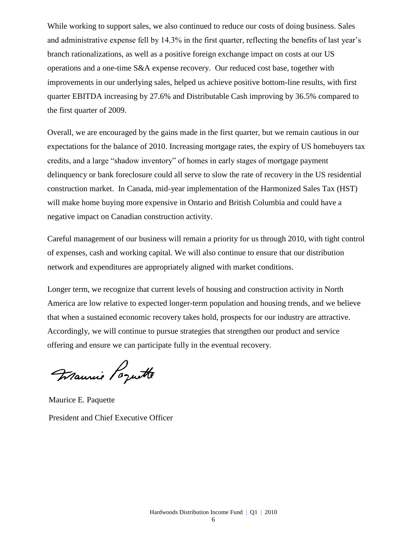While working to support sales, we also continued to reduce our costs of doing business. Sales and administrative expense fell by 14.3% in the first quarter, reflecting the benefits of last year's branch rationalizations, as well as a positive foreign exchange impact on costs at our US operations and a one-time S&A expense recovery. Our reduced cost base, together with improvements in our underlying sales, helped us achieve positive bottom-line results, with first quarter EBITDA increasing by 27.6% and Distributable Cash improving by 36.5% compared to the first quarter of 2009.

Overall, we are encouraged by the gains made in the first quarter, but we remain cautious in our expectations for the balance of 2010. Increasing mortgage rates, the expiry of US homebuyers tax credits, and a large "shadow inventory" of homes in early stages of mortgage payment delinquency or bank foreclosure could all serve to slow the rate of recovery in the US residential construction market. In Canada, mid-year implementation of the Harmonized Sales Tax (HST) will make home buying more expensive in Ontario and British Columbia and could have a negative impact on Canadian construction activity.

Careful management of our business will remain a priority for us through 2010, with tight control of expenses, cash and working capital. We will also continue to ensure that our distribution network and expenditures are appropriately aligned with market conditions.

Longer term, we recognize that current levels of housing and construction activity in North America are low relative to expected longer-term population and housing trends, and we believe that when a sustained economic recovery takes hold, prospects for our industry are attractive. Accordingly, we will continue to pursue strategies that strengthen our product and service offering and ensure we can participate fully in the eventual recovery.

Maurie Poquette

Maurice E. Paquette President and Chief Executive Officer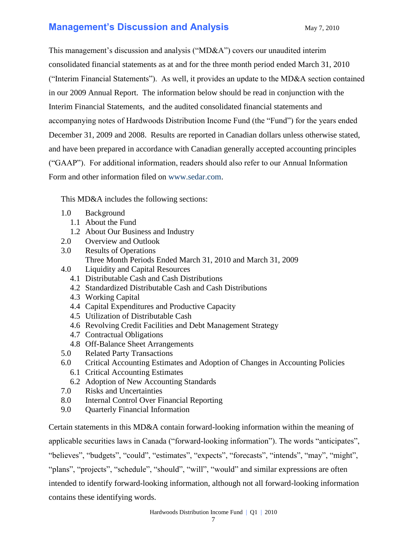## **Management's Discussion and Analysis** May 7, 2010

This management's discussion and analysis ("MD&A") covers our unaudited interim consolidated financial statements as at and for the three month period ended March 31, 2010 ("Interim Financial Statements"). As well, it provides an update to the MD&A section contained in our 2009 Annual Report. The information below should be read in conjunction with the Interim Financial Statements, and the audited consolidated financial statements and accompanying notes of Hardwoods Distribution Income Fund (the "Fund") for the years ended December 31, 2009 and 2008. Results are reported in Canadian dollars unless otherwise stated, and have been prepared in accordance with Canadian generally accepted accounting principles ("GAAP"). For additional information, readers should also refer to our Annual Information Form and other information filed on [www.sedar.com.](http://www.sedar.com/)

This MD&A includes the following sections:

- 1.0 Background
	- 1.1 About the Fund
	- 1.2 About Our Business and Industry
- 2.0 Overview and Outlook
- 3.0 Results of Operations Three Month Periods Ended March 31, 2010 and March 31, 2009
- 4.0 Liquidity and Capital Resources
	- 4.1 Distributable Cash and Cash Distributions
	- 4.2 Standardized Distributable Cash and Cash Distributions
	- 4.3 Working Capital
	- 4.4 Capital Expenditures and Productive Capacity
	- 4.5 Utilization of Distributable Cash
	- 4.6 Revolving Credit Facilities and Debt Management Strategy
	- 4.7 Contractual Obligations
	- 4.8 Off-Balance Sheet Arrangements
- 5.0 Related Party Transactions
- 6.0 Critical Accounting Estimates and Adoption of Changes in Accounting Policies
	- 6.1 Critical Accounting Estimates
	- 6.2 Adoption of New Accounting Standards
- 7.0 Risks and Uncertainties
- 8.0 Internal Control Over Financial Reporting
- 9.0 Quarterly Financial Information

Certain statements in this MD&A contain forward-looking information within the meaning of applicable securities laws in Canada ("forward-looking information"). The words "anticipates", "believes", "budgets", "could", "estimates", "expects", "forecasts", "intends", "may", "might", "plans", "projects", "schedule", "should", "will", "would" and similar expressions are often intended to identify forward-looking information, although not all forward-looking information contains these identifying words.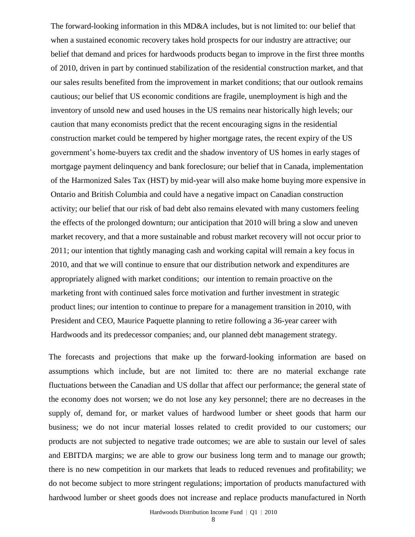The forward-looking information in this MD&A includes, but is not limited to: our belief that when a sustained economic recovery takes hold prospects for our industry are attractive; our belief that demand and prices for hardwoods products began to improve in the first three months of 2010, driven in part by continued stabilization of the residential construction market, and that our sales results benefited from the improvement in market conditions; that our outlook remains cautious; our belief that US economic conditions are fragile, unemployment is high and the inventory of unsold new and used houses in the US remains near historically high levels; our caution that many economists predict that the recent encouraging signs in the residential construction market could be tempered by higher mortgage rates, the recent expiry of the US government's home-buyers tax credit and the shadow inventory of US homes in early stages of mortgage payment delinquency and bank foreclosure; our belief that in Canada, implementation of the Harmonized Sales Tax (HST) by mid**-**year will also make home buying more expensive in Ontario and British Columbia and could have a negative impact on Canadian construction activity; our belief that our risk of bad debt also remains elevated with many customers feeling the effects of the prolonged downturn; our anticipation that 2010 will bring a slow and uneven market recovery, and that a more sustainable and robust market recovery will not occur prior to 2011; our intention that tightly managing cash and working capital will remain a key focus in 2010, and that we will continue to ensure that our distribution network and expenditures are appropriately aligned with market conditions; our intention to remain proactive on the marketing front with continued sales force motivation and further investment in strategic product lines; our intention to continue to prepare for a management transition in 2010, with President and CEO, Maurice Paquette planning to retire following a 36-year career with Hardwoods and its predecessor companies; and, our planned debt management strategy.

The forecasts and projections that make up the forward-looking information are based on assumptions which include, but are not limited to: there are no material exchange rate fluctuations between the Canadian and US dollar that affect our performance; the general state of the economy does not worsen; we do not lose any key personnel; there are no decreases in the supply of, demand for, or market values of hardwood lumber or sheet goods that harm our business; we do not incur material losses related to credit provided to our customers; our products are not subjected to negative trade outcomes; we are able to sustain our level of sales and EBITDA margins; we are able to grow our business long term and to manage our growth; there is no new competition in our markets that leads to reduced revenues and profitability; we do not become subject to more stringent regulations; importation of products manufactured with hardwood lumber or sheet goods does not increase and replace products manufactured in North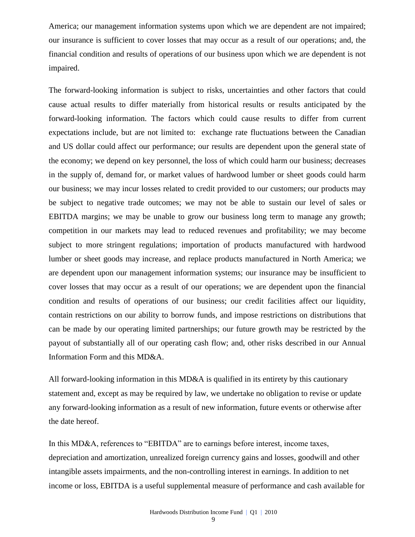America; our management information systems upon which we are dependent are not impaired; our insurance is sufficient to cover losses that may occur as a result of our operations; and, the financial condition and results of operations of our business upon which we are dependent is not impaired.

The forward-looking information is subject to risks, uncertainties and other factors that could cause actual results to differ materially from historical results or results anticipated by the forward-looking information. The factors which could cause results to differ from current expectations include, but are not limited to: exchange rate fluctuations between the Canadian and US dollar could affect our performance; our results are dependent upon the general state of the economy; we depend on key personnel, the loss of which could harm our business; decreases in the supply of, demand for, or market values of hardwood lumber or sheet goods could harm our business; we may incur losses related to credit provided to our customers; our products may be subject to negative trade outcomes; we may not be able to sustain our level of sales or EBITDA margins; we may be unable to grow our business long term to manage any growth; competition in our markets may lead to reduced revenues and profitability; we may become subject to more stringent regulations; importation of products manufactured with hardwood lumber or sheet goods may increase, and replace products manufactured in North America; we are dependent upon our management information systems; our insurance may be insufficient to cover losses that may occur as a result of our operations; we are dependent upon the financial condition and results of operations of our business; our credit facilities affect our liquidity, contain restrictions on our ability to borrow funds, and impose restrictions on distributions that can be made by our operating limited partnerships; our future growth may be restricted by the payout of substantially all of our operating cash flow; and, other risks described in our Annual Information Form and this MD&A.

All forward-looking information in this MD&A is qualified in its entirety by this cautionary statement and, except as may be required by law, we undertake no obligation to revise or update any forward-looking information as a result of new information, future events or otherwise after the date hereof.

In this MD&A, references to "EBITDA" are to earnings before interest, income taxes, depreciation and amortization, unrealized foreign currency gains and losses, goodwill and other intangible assets impairments, and the non-controlling interest in earnings. In addition to net income or loss, EBITDA is a useful supplemental measure of performance and cash available for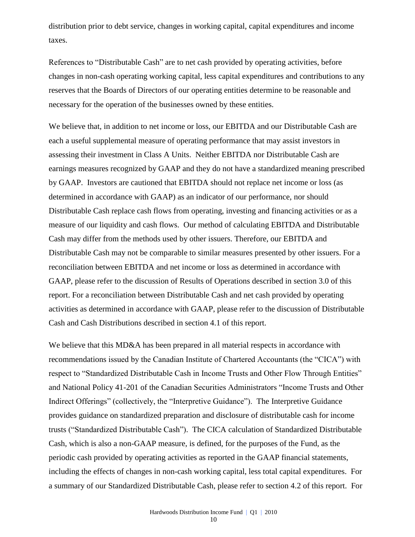distribution prior to debt service, changes in working capital, capital expenditures and income taxes.

References to "Distributable Cash" are to net cash provided by operating activities, before changes in non-cash operating working capital, less capital expenditures and contributions to any reserves that the Boards of Directors of our operating entities determine to be reasonable and necessary for the operation of the businesses owned by these entities.

We believe that, in addition to net income or loss, our EBITDA and our Distributable Cash are each a useful supplemental measure of operating performance that may assist investors in assessing their investment in Class A Units. Neither EBITDA nor Distributable Cash are earnings measures recognized by GAAP and they do not have a standardized meaning prescribed by GAAP. Investors are cautioned that EBITDA should not replace net income or loss (as determined in accordance with GAAP) as an indicator of our performance, nor should Distributable Cash replace cash flows from operating, investing and financing activities or as a measure of our liquidity and cash flows. Our method of calculating EBITDA and Distributable Cash may differ from the methods used by other issuers. Therefore, our EBITDA and Distributable Cash may not be comparable to similar measures presented by other issuers. For a reconciliation between EBITDA and net income or loss as determined in accordance with GAAP, please refer to the discussion of Results of Operations described in section 3.0 of this report. For a reconciliation between Distributable Cash and net cash provided by operating activities as determined in accordance with GAAP, please refer to the discussion of Distributable Cash and Cash Distributions described in section 4.1 of this report.

We believe that this MD&A has been prepared in all material respects in accordance with recommendations issued by the Canadian Institute of Chartered Accountants (the "CICA") with respect to "Standardized Distributable Cash in Income Trusts and Other Flow Through Entities" and National Policy 41-201 of the Canadian Securities Administrators "Income Trusts and Other Indirect Offerings" (collectively, the "Interpretive Guidance"). The Interpretive Guidance provides guidance on standardized preparation and disclosure of distributable cash for income trusts ("Standardized Distributable Cash"). The CICA calculation of Standardized Distributable Cash, which is also a non-GAAP measure, is defined, for the purposes of the Fund, as the periodic cash provided by operating activities as reported in the GAAP financial statements, including the effects of changes in non-cash working capital, less total capital expenditures. For a summary of our Standardized Distributable Cash, please refer to section 4.2 of this report. For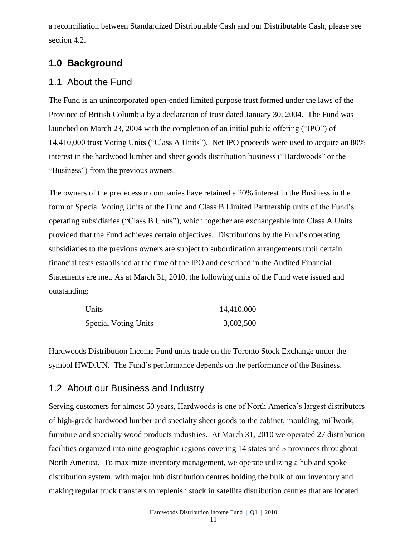a reconciliation between Standardized Distributable Cash and our Distributable Cash, please see section 4.2.

## **1.0 Background**

### 1.1 About the Fund

The Fund is an unincorporated open-ended limited purpose trust formed under the laws of the Province of British Columbia by a declaration of trust dated January 30, 2004. The Fund was launched on March 23, 2004 with the completion of an initial public offering ("IPO") of 14,410,000 trust Voting Units ("Class A Units"). Net IPO proceeds were used to acquire an 80% interest in the hardwood lumber and sheet goods distribution business ("Hardwoods" or the "Business") from the previous owners.

The owners of the predecessor companies have retained a 20% interest in the Business in the form of Special Voting Units of the Fund and Class B Limited Partnership units of the Fund's operating subsidiaries ("Class B Units"), which together are exchangeable into Class A Units provided that the Fund achieves certain objectives. Distributions by the Fund's operating subsidiaries to the previous owners are subject to subordination arrangements until certain financial tests established at the time of the IPO and described in the Audited Financial Statements are met. As at March 31, 2010, the following units of the Fund were issued and outstanding:

| Units                       | 14,410,000 |
|-----------------------------|------------|
| <b>Special Voting Units</b> | 3,602,500  |

Hardwoods Distribution Income Fund units trade on the Toronto Stock Exchange under the symbol HWD.UN. The Fund's performance depends on the performance of the Business.

## 1.2 About our Business and Industry

Serving customers for almost 50 years, Hardwoods is one of North America's largest distributors of high-grade hardwood lumber and specialty sheet goods to the cabinet, moulding, millwork, furniture and specialty wood products industries. At March 31, 2010 we operated 27 distribution facilities organized into nine geographic regions covering 14 states and 5 provinces throughout North America. To maximize inventory management, we operate utilizing a hub and spoke distribution system, with major hub distribution centres holding the bulk of our inventory and making regular truck transfers to replenish stock in satellite distribution centres that are located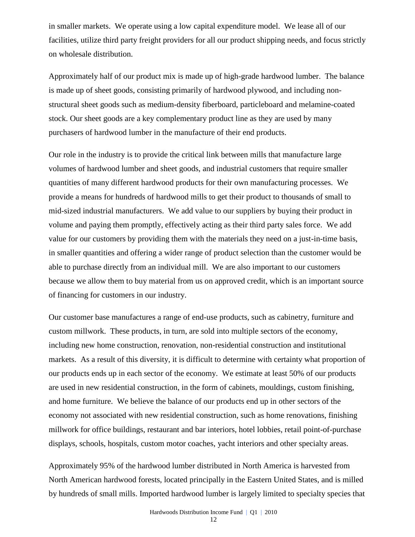in smaller markets. We operate using a low capital expenditure model. We lease all of our facilities, utilize third party freight providers for all our product shipping needs, and focus strictly on wholesale distribution.

Approximately half of our product mix is made up of high-grade hardwood lumber. The balance is made up of sheet goods, consisting primarily of hardwood plywood, and including nonstructural sheet goods such as medium-density fiberboard, particleboard and melamine-coated stock. Our sheet goods are a key complementary product line as they are used by many purchasers of hardwood lumber in the manufacture of their end products.

Our role in the industry is to provide the critical link between mills that manufacture large volumes of hardwood lumber and sheet goods, and industrial customers that require smaller quantities of many different hardwood products for their own manufacturing processes. We provide a means for hundreds of hardwood mills to get their product to thousands of small to mid-sized industrial manufacturers. We add value to our suppliers by buying their product in volume and paying them promptly, effectively acting as their third party sales force. We add value for our customers by providing them with the materials they need on a just-in-time basis, in smaller quantities and offering a wider range of product selection than the customer would be able to purchase directly from an individual mill. We are also important to our customers because we allow them to buy material from us on approved credit, which is an important source of financing for customers in our industry.

Our customer base manufactures a range of end-use products, such as cabinetry, furniture and custom millwork. These products, in turn, are sold into multiple sectors of the economy, including new home construction, renovation, non-residential construction and institutional markets. As a result of this diversity, it is difficult to determine with certainty what proportion of our products ends up in each sector of the economy. We estimate at least 50% of our products are used in new residential construction, in the form of cabinets, mouldings, custom finishing, and home furniture. We believe the balance of our products end up in other sectors of the economy not associated with new residential construction, such as home renovations, finishing millwork for office buildings, restaurant and bar interiors, hotel lobbies, retail point-of-purchase displays, schools, hospitals, custom motor coaches, yacht interiors and other specialty areas.

Approximately 95% of the hardwood lumber distributed in North America is harvested from North American hardwood forests, located principally in the Eastern United States, and is milled by hundreds of small mills. Imported hardwood lumber is largely limited to specialty species that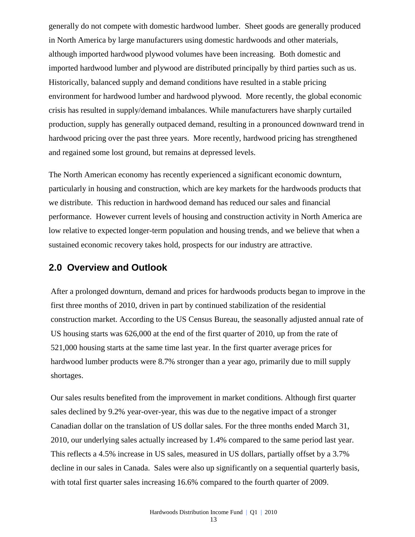generally do not compete with domestic hardwood lumber. Sheet goods are generally produced in North America by large manufacturers using domestic hardwoods and other materials, although imported hardwood plywood volumes have been increasing. Both domestic and imported hardwood lumber and plywood are distributed principally by third parties such as us. Historically, balanced supply and demand conditions have resulted in a stable pricing environment for hardwood lumber and hardwood plywood. More recently, the global economic crisis has resulted in supply/demand imbalances. While manufacturers have sharply curtailed production, supply has generally outpaced demand, resulting in a pronounced downward trend in hardwood pricing over the past three years. More recently, hardwood pricing has strengthened and regained some lost ground, but remains at depressed levels.

The North American economy has recently experienced a significant economic downturn, particularly in housing and construction, which are key markets for the hardwoods products that we distribute. This reduction in hardwood demand has reduced our sales and financial performance. However current levels of housing and construction activity in North America are low relative to expected longer-term population and housing trends, and we believe that when a sustained economic recovery takes hold, prospects for our industry are attractive.

### **2.0 Overview and Outlook**

After a prolonged downturn, demand and prices for hardwoods products began to improve in the first three months of 2010, driven in part by continued stabilization of the residential construction market. According to the US Census Bureau, the seasonally adjusted annual rate of US housing starts was 626,000 at the end of the first quarter of 2010, up from the rate of 521,000 housing starts at the same time last year. In the first quarter average prices for hardwood lumber products were 8.7% stronger than a year ago, primarily due to mill supply shortages.

Our sales results benefited from the improvement in market conditions. Although first quarter sales declined by 9.2% year-over-year, this was due to the negative impact of a stronger Canadian dollar on the translation of US dollar sales. For the three months ended March 31, 2010, our underlying sales actually increased by 1.4% compared to the same period last year. This reflects a 4.5% increase in US sales, measured in US dollars, partially offset by a 3.7% decline in our sales in Canada. Sales were also up significantly on a sequential quarterly basis, with total first quarter sales increasing 16.6% compared to the fourth quarter of 2009.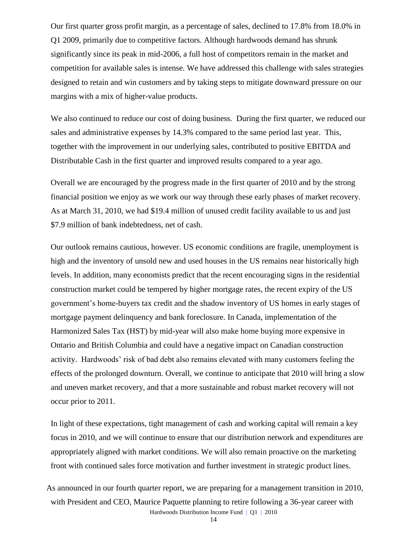Our first quarter gross profit margin, as a percentage of sales, declined to 17.8% from 18.0% in Q1 2009, primarily due to competitive factors. Although hardwoods demand has shrunk significantly since its peak in mid-2006, a full host of competitors remain in the market and competition for available sales is intense. We have addressed this challenge with sales strategies designed to retain and win customers and by taking steps to mitigate downward pressure on our margins with a mix of higher-value products.

We also continued to reduce our cost of doing business. During the first quarter, we reduced our sales and administrative expenses by 14.3% compared to the same period last year. This, together with the improvement in our underlying sales, contributed to positive EBITDA and Distributable Cash in the first quarter and improved results compared to a year ago.

Overall we are encouraged by the progress made in the first quarter of 2010 and by the strong financial position we enjoy as we work our way through these early phases of market recovery. As at March 31, 2010, we had \$19.4 million of unused credit facility available to us and just \$7.9 million of bank indebtedness, net of cash.

Our outlook remains cautious, however. US economic conditions are fragile, unemployment is high and the inventory of unsold new and used houses in the US remains near historically high levels. In addition, many economists predict that the recent encouraging signs in the residential construction market could be tempered by higher mortgage rates, the recent expiry of the US government's home-buyers tax credit and the shadow inventory of US homes in early stages of mortgage payment delinquency and bank foreclosure. In Canada, implementation of the Harmonized Sales Tax (HST) by mid**-**year will also make home buying more expensive in Ontario and British Columbia and could have a negative impact on Canadian construction activity. Hardwoods' risk of bad debt also remains elevated with many customers feeling the effects of the prolonged downturn. Overall, we continue to anticipate that 2010 will bring a slow and uneven market recovery, and that a more sustainable and robust market recovery will not occur prior to 2011.

In light of these expectations, tight management of cash and working capital will remain a key focus in 2010, and we will continue to ensure that our distribution network and expenditures are appropriately aligned with market conditions. We will also remain proactive on the marketing front with continued sales force motivation and further investment in strategic product lines.

Hardwoods Distribution Income Fund | Q1 | 2010 As announced in our fourth quarter report, we are preparing for a management transition in 2010, with President and CEO, Maurice Paquette planning to retire following a 36-year career with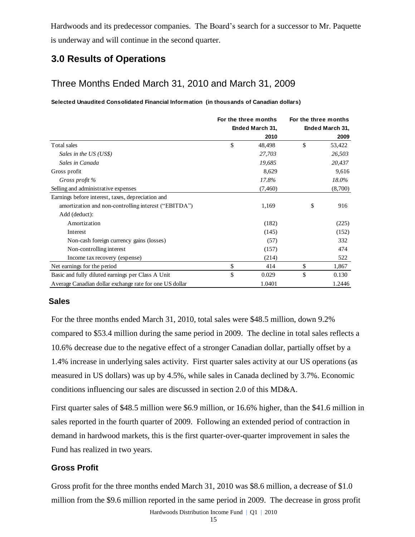Hardwoods and its predecessor companies. The Board's search for a successor to Mr. Paquette is underway and will continue in the second quarter.

## **3.0 Results of Operations**

### Three Months Ended March 31, 2010 and March 31, 2009

**Selected Unaudited Consolidated Financial Information (in thousands of Canadian dollars)**

|                                                         | For the three months |                 | For the three months |                 |
|---------------------------------------------------------|----------------------|-----------------|----------------------|-----------------|
|                                                         |                      | Ended March 31, |                      | Ended March 31, |
|                                                         |                      | 2010            |                      | 2009            |
| Total sales                                             | \$                   | 48,498          | \$                   | 53,422          |
| Sales in the US (US\$)                                  |                      | 27,703          |                      | 26,503          |
| Sales in Canada                                         |                      | 19,685          |                      | 20,437          |
| Gross profit                                            |                      | 8,629           |                      | 9,616           |
| Gross profit %                                          |                      | 17.8%           |                      | $18.0\%$        |
| Selling and administrative expenses                     |                      | (7,460)         |                      | (8,700)         |
| Earnings before interest, taxes, depreciation and       |                      |                 |                      |                 |
| amortization and non-controlling interest ("EBITDA")    |                      | 1,169           | \$                   | 916             |
| Add (deduct):                                           |                      |                 |                      |                 |
| Amortization                                            |                      | (182)           |                      | (225)           |
| Interest                                                |                      | (145)           |                      | (152)           |
| Non-cash foreign currency gains (losses)                |                      | (57)            |                      | 332             |
| Non-controlling interest                                |                      | (157)           |                      | 474             |
| Income tax recovery (expense)                           |                      | (214)           |                      | 522             |
| Net earnings for the period                             | \$                   | 414             | \$                   | 1,867           |
| Basic and fully diluted earnings per Class A Unit       | \$                   | 0.029           | \$                   | 0.130           |
| Average Canadian dollar exchange rate for one US dollar |                      | 1.0401          |                      | 1.2446          |

### **Sales**

For the three months ended March 31, 2010, total sales were \$48.5 million, down 9.2% compared to \$53.4 million during the same period in 2009. The decline in total sales reflects a 10.6% decrease due to the negative effect of a stronger Canadian dollar, partially offset by a 1.4% increase in underlying sales activity. First quarter sales activity at our US operations (as measured in US dollars) was up by 4.5%, while sales in Canada declined by 3.7%. Economic conditions influencing our sales are discussed in section 2.0 of this MD&A.

First quarter sales of \$48.5 million were \$6.9 million, or 16.6% higher, than the \$41.6 million in sales reported in the fourth quarter of 2009. Following an extended period of contraction in demand in hardwood markets, this is the first quarter-over-quarter improvement in sales the Fund has realized in two years.

### **Gross Profit**

Gross profit for the three months ended March 31, 2010 was \$8.6 million, a decrease of \$1.0 million from the \$9.6 million reported in the same period in 2009. The decrease in gross profit

Hardwoods Distribution Income Fund | Q1 | 2010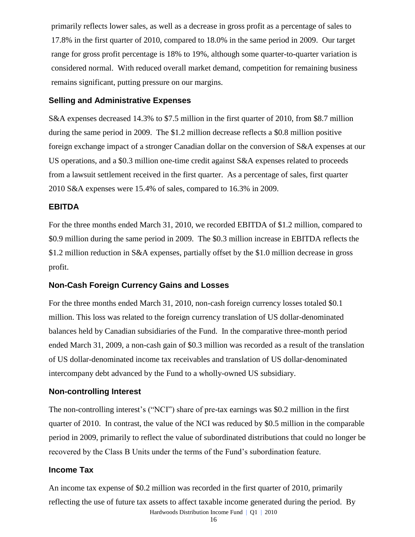primarily reflects lower sales, as well as a decrease in gross profit as a percentage of sales to 17.8% in the first quarter of 2010, compared to 18.0% in the same period in 2009. Our target range for gross profit percentage is 18% to 19%, although some quarter-to-quarter variation is considered normal. With reduced overall market demand, competition for remaining business remains significant, putting pressure on our margins.

### **Selling and Administrative Expenses**

S&A expenses decreased 14.3% to \$7.5 million in the first quarter of 2010, from \$8.7 million during the same period in 2009. The \$1.2 million decrease reflects a \$0.8 million positive foreign exchange impact of a stronger Canadian dollar on the conversion of S&A expenses at our US operations, and a \$0.3 million one-time credit against S&A expenses related to proceeds from a lawsuit settlement received in the first quarter. As a percentage of sales, first quarter 2010 S&A expenses were 15.4% of sales, compared to 16.3% in 2009.

### **EBITDA**

For the three months ended March 31, 2010, we recorded EBITDA of \$1.2 million, compared to \$0.9 million during the same period in 2009. The \$0.3 million increase in EBITDA reflects the \$1.2 million reduction in S&A expenses, partially offset by the \$1.0 million decrease in gross profit.

### **Non-Cash Foreign Currency Gains and Losses**

For the three months ended March 31, 2010, non-cash foreign currency losses totaled \$0.1 million. This loss was related to the foreign currency translation of US dollar-denominated balances held by Canadian subsidiaries of the Fund. In the comparative three-month period ended March 31, 2009, a non-cash gain of \$0.3 million was recorded as a result of the translation of US dollar-denominated income tax receivables and translation of US dollar-denominated intercompany debt advanced by the Fund to a wholly-owned US subsidiary.

### **Non-controlling Interest**

The non-controlling interest's ("NCI") share of pre-tax earnings was \$0.2 million in the first quarter of 2010. In contrast, the value of the NCI was reduced by \$0.5 million in the comparable period in 2009, primarily to reflect the value of subordinated distributions that could no longer be recovered by the Class B Units under the terms of the Fund's subordination feature.

### **Income Tax**

Hardwoods Distribution Income Fund | Q1 | 2010 An income tax expense of \$0.2 million was recorded in the first quarter of 2010, primarily reflecting the use of future tax assets to affect taxable income generated during the period. By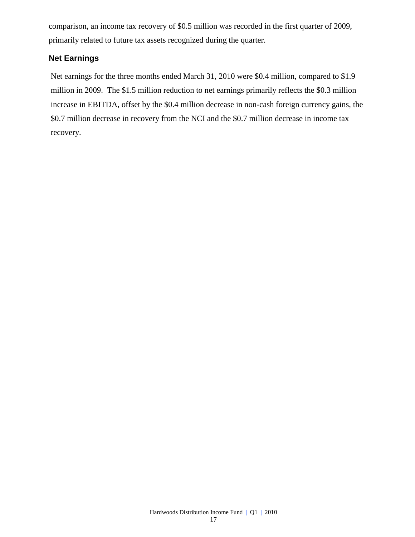comparison, an income tax recovery of \$0.5 million was recorded in the first quarter of 2009, primarily related to future tax assets recognized during the quarter.

### **Net Earnings**

Net earnings for the three months ended March 31, 2010 were \$0.4 million, compared to \$1.9 million in 2009. The \$1.5 million reduction to net earnings primarily reflects the \$0.3 million increase in EBITDA, offset by the \$0.4 million decrease in non-cash foreign currency gains, the \$0.7 million decrease in recovery from the NCI and the \$0.7 million decrease in income tax recovery.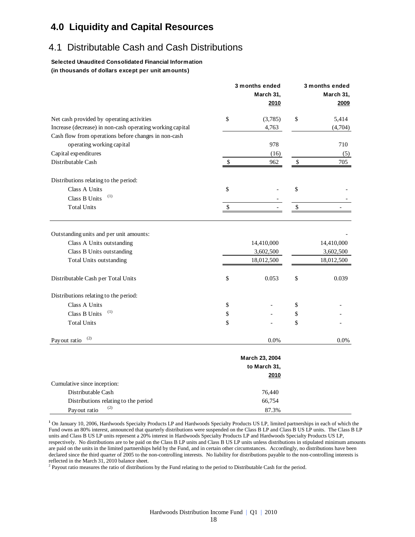## **4.0 Liquidity and Capital Resources**

## 4.1 Distributable Cash and Cash Distributions

### **Selected Unaudited Consolidated Financial Information (in thousands of dollars except per unit amounts)**

|                                                           |                           | 3 months ended<br>March 31,<br>2010 |              | 3 months ended<br>March 31,<br>2009 |
|-----------------------------------------------------------|---------------------------|-------------------------------------|--------------|-------------------------------------|
| Net cash provided by operating activities                 | \$                        | (3,785)                             | \$           | 5,414                               |
| Increase (decrease) in non-cash operating working capital |                           | 4,763                               |              | (4,704)                             |
| Cash flow from operations before changes in non-cash      |                           |                                     |              |                                     |
| operating working capital                                 |                           | 978                                 |              | 710                                 |
| Capital expenditures                                      |                           | (16)                                |              | (5)                                 |
| Distributable Cash                                        | $\boldsymbol{\mathsf{S}}$ | 962                                 | \$           | 705                                 |
| Distributions relating to the period:                     |                           |                                     |              |                                     |
| Class A Units                                             | \$                        |                                     | \$           |                                     |
| (1)<br>Class B Units                                      |                           |                                     |              |                                     |
| <b>Total Units</b>                                        | $\mathbb{S}$              |                                     | $\mathbb{S}$ |                                     |
| Outstanding units and per unit amounts:                   |                           |                                     |              |                                     |
| Class A Units outstanding                                 |                           | 14,410,000                          |              | 14,410,000                          |
| Class B Units outstanding                                 |                           | 3,602,500                           | 3,602,500    |                                     |
| <b>Total Units outstanding</b>                            |                           | 18,012,500                          | 18,012,500   |                                     |
| Distributable Cash per Total Units                        | \$                        | 0.053                               | \$           | 0.039                               |
| Distributions relating to the period:                     |                           |                                     |              |                                     |
| Class A Units                                             | \$                        |                                     | \$           |                                     |
| (1)<br>Class B Units                                      | \$                        |                                     | \$           |                                     |
| <b>Total Units</b>                                        | \$                        |                                     | \$           |                                     |
| (2)<br>Payout ratio                                       |                           | 0.0%                                |              | 0.0%                                |
|                                                           |                           | March 23, 2004                      |              |                                     |
|                                                           |                           | to March 31,                        |              |                                     |
|                                                           |                           | <u> 2010</u>                        |              |                                     |
| Cumulative since inception:                               |                           |                                     |              |                                     |
| Distributable Cash                                        |                           | 76,440                              |              |                                     |
| Distributions relating to the period                      |                           | 66,754                              |              |                                     |
| (2)<br>Payout ratio                                       |                           | 87.3%                               |              |                                     |

**<sup>1</sup>** On January 10, 2006, Hardwoods Specialty Products LP and Hardwoods Specialty Products US LP, limited partnerships in each of which the Fund owns an 80% interest, announced that quarterly distributions were suspended on the Class B LP and Class B US LP units. The Class B LP units and Class B US LP units represent a 20% interest in Hardwoods Specialty Products LP and Hardwoods Specialty Products US LP, respectively. No distributions are to be paid on the Class B LP units and Class B US LP units unless distributions in stipulated minimum amounts are paid on the units in the limited partnerships held by the Fund, and in certain other circumstances. Accordingly, no distributions have been declared since the third quarter of 2005 to the non-controlling interests. No liability for distributions payable to the non-controlling interests is reflected in the March 31, 2010 balance sheet.

<sup>2</sup> Payout ratio measures the ratio of distributions by the Fund relating to the period to Distributable Cash for the period.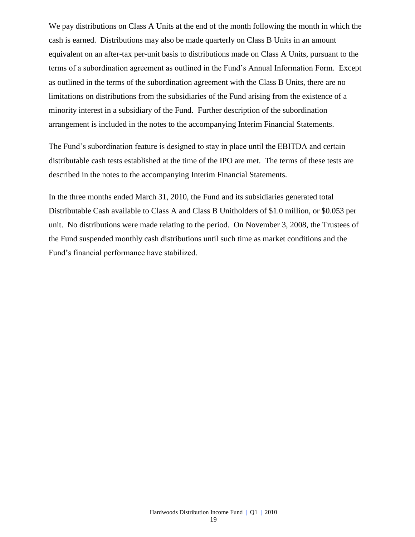We pay distributions on Class A Units at the end of the month following the month in which the cash is earned. Distributions may also be made quarterly on Class B Units in an amount equivalent on an after-tax per-unit basis to distributions made on Class A Units, pursuant to the terms of a subordination agreement as outlined in the Fund's Annual Information Form. Except as outlined in the terms of the subordination agreement with the Class B Units, there are no limitations on distributions from the subsidiaries of the Fund arising from the existence of a minority interest in a subsidiary of the Fund. Further description of the subordination arrangement is included in the notes to the accompanying Interim Financial Statements.

The Fund's subordination feature is designed to stay in place until the EBITDA and certain distributable cash tests established at the time of the IPO are met. The terms of these tests are described in the notes to the accompanying Interim Financial Statements.

In the three months ended March 31, 2010, the Fund and its subsidiaries generated total Distributable Cash available to Class A and Class B Unitholders of \$1.0 million, or \$0.053 per unit. No distributions were made relating to the period. On November 3, 2008, the Trustees of the Fund suspended monthly cash distributions until such time as market conditions and the Fund's financial performance have stabilized.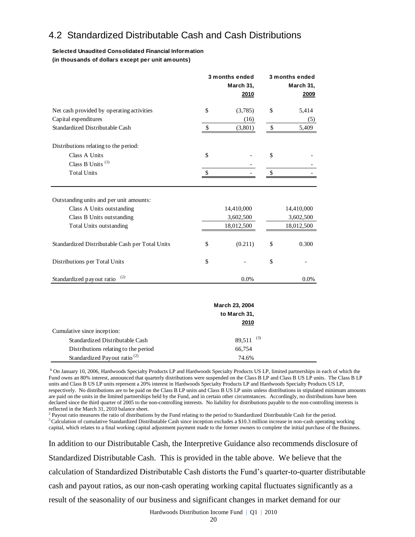## 4.2 Standardized Distributable Cash and Cash Distributions

### **Selected Unaudited Consolidated Financial Information (in thousands of dollars except per unit amounts)**

|                                                                                                                                     |                                       | 3 months ended<br>March 31,<br>2010    |                                       | 3 months ended<br>March 31,<br>2009 |
|-------------------------------------------------------------------------------------------------------------------------------------|---------------------------------------|----------------------------------------|---------------------------------------|-------------------------------------|
| Net cash provided by operating activities                                                                                           | \$                                    | (3,785)                                | \$                                    | 5,414                               |
| Capital expenditures                                                                                                                |                                       | (16)                                   |                                       | (5)                                 |
| Standardized Distributable Cash                                                                                                     | \$                                    | (3,801)                                | \$                                    | 5,409                               |
| Distributions relating to the period:                                                                                               |                                       |                                        |                                       |                                     |
| Class A Units                                                                                                                       | \$                                    |                                        | \$                                    |                                     |
| Class B Units <sup>(1)</sup>                                                                                                        |                                       |                                        |                                       |                                     |
| <b>Total Units</b>                                                                                                                  | \$                                    |                                        | \$                                    |                                     |
| Outstanding units and per unit amounts:<br>Class A Units outstanding<br>Class B Units outstanding<br><b>Total Units outstanding</b> | 14,410,000<br>3,602,500<br>18,012,500 |                                        | 14,410,000<br>3,602,500<br>18,012,500 |                                     |
| Standardized Distributable Cash per Total Units                                                                                     | \$                                    | (0.211)                                | \$                                    | 0.300                               |
| Distributions per Total Units                                                                                                       | \$                                    |                                        | \$                                    |                                     |
| (2)<br>Standardized payout ratio                                                                                                    |                                       | 0.0%                                   |                                       | 0.0%                                |
| Cumulative since inception:                                                                                                         |                                       | March 23, 2004<br>to March 31,<br>2010 |                                       |                                     |
|                                                                                                                                     |                                       |                                        |                                       |                                     |

**<sup>1</sup>** On January 10, 2006, Hardwoods Specialty Products LP and Hardwoods Specialty Products US LP, limited partnerships in each of which the Fund owns an 80% interest, announced that quarterly distributions were suspended on the Class B LP and Class B US LP units. The Class B LP units and Class B US LP units represent a 20% interest in Hardwoods Specialty Products LP and Hardwoods Specialty Products US LP, respectively. No distributions are to be paid on the Class B LP units and Class B US LP units unless distributions in stipulated minimum amounts are paid on the units in the limited partnerships held by the Fund, and in certain other circumstances. Accordingly, no distributions have been declared since the third quarter of 2005 to the non-controlling interests. No liability for distributions payable to the non-controlling interests is

reflected in the March 31, 2010 balance sheet. Payout ratio measures the ratio of distributions by the Fund relating to the period to Standardized Distributable Cash for the period.

Standardized Distributable Cash 89,511  $(3)$ Distributions relating to the period 66,754 Standardized Payout ratio<sup>(2)</sup> 74.6%

<sup>3</sup>Calculation of cumulative Standardized Distributable Cash since inception excludes a \$10.3 million increase in non-cash operating working capital, which relates to a final working capital adjustment payment made to the former owners to complete the initial purchase of the Business.

In addition to our Distributable Cash, the Interpretive Guidance also recommends disclosure of Standardized Distributable Cash. This is provided in the table above. We believe that the calculation of Standardized Distributable Cash distorts the Fund's quarter-to-quarter distributable cash and payout ratios, as our non-cash operating working capital fluctuates significantly as a result of the seasonality of our business and significant changes in market demand for our

Hardwoods Distribution Income Fund | Q1 | 2010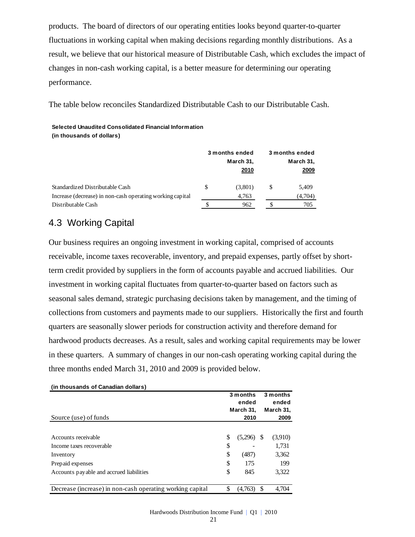products. The board of directors of our operating entities looks beyond quarter-to-quarter fluctuations in working capital when making decisions regarding monthly distributions. As a result, we believe that our historical measure of Distributable Cash, which excludes the impact of changes in non-cash working capital, is a better measure for determining our operating performance.

The table below reconciles Standardized Distributable Cash to our Distributable Cash.

### **Selected Unaudited Consolidated Financial Information (in thousands of dollars)**

|                                                           |   | 3 months ended<br>March 31,<br>2010 | 3 months ended<br>March 31,<br>2009 |
|-----------------------------------------------------------|---|-------------------------------------|-------------------------------------|
| Standardized Distributable Cash                           | S | (3,801)                             | 5,409                               |
| Increase (decrease) in non-cash operating working capital |   | 4.763                               | (4,704)                             |
| Distributable Cash                                        |   | 962                                 | 705                                 |

## 4.3 Working Capital

Our business requires an ongoing investment in working capital, comprised of accounts receivable, income taxes recoverable, inventory, and prepaid expenses, partly offset by shortterm credit provided by suppliers in the form of accounts payable and accrued liabilities. Our investment in working capital fluctuates from quarter-to-quarter based on factors such as seasonal sales demand, strategic purchasing decisions taken by management, and the timing of collections from customers and payments made to our suppliers. Historically the first and fourth quarters are seasonally slower periods for construction activity and therefore demand for hardwood products decreases. As a result, sales and working capital requirements may be lower in these quarters. A summary of changes in our non-cash operating working capital during the three months ended March 31, 2010 and 2009 is provided below.

| (in thousands of Canadian dollars)                        |    |           |    |           |
|-----------------------------------------------------------|----|-----------|----|-----------|
|                                                           |    | 3 months  |    | 3 months  |
|                                                           |    | ended     |    | ended     |
|                                                           |    | March 31, |    | March 31, |
| Source (use) of funds                                     |    | 2010      |    | 2009      |
|                                                           |    |           |    |           |
| Accounts receivable                                       | S  | (5,296)   | -S | (3.910)   |
| Income taxes recoverable                                  | \$ |           |    | 1,731     |
| Inventory                                                 | \$ | (487)     |    | 3,362     |
| Prepaid expenses                                          | \$ | 175       |    | 199       |
| Accounts payable and accrued liabilities                  | \$ | 845       |    | 3,322     |
|                                                           |    |           |    |           |
| Decrease (increase) in non-cash operating working capital | S  | (4.763)   | S  | 4.704     |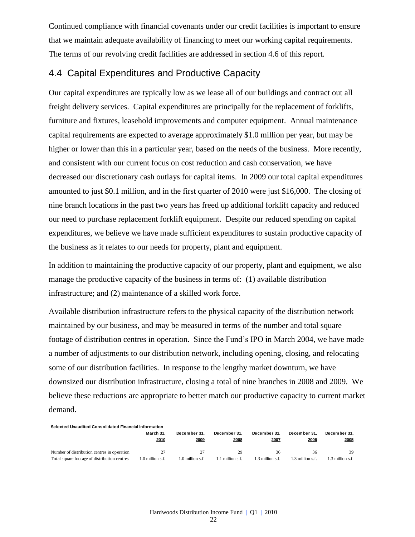Continued compliance with financial covenants under our credit facilities is important to ensure that we maintain adequate availability of financing to meet our working capital requirements. The terms of our revolving credit facilities are addressed in section 4.6 of this report.

## 4.4 Capital Expenditures and Productive Capacity

Our capital expenditures are typically low as we lease all of our buildings and contract out all freight delivery services. Capital expenditures are principally for the replacement of forklifts, furniture and fixtures, leasehold improvements and computer equipment. Annual maintenance capital requirements are expected to average approximately \$1.0 million per year, but may be higher or lower than this in a particular year, based on the needs of the business. More recently, and consistent with our current focus on cost reduction and cash conservation, we have decreased our discretionary cash outlays for capital items. In 2009 our total capital expenditures amounted to just \$0.1 million, and in the first quarter of 2010 were just \$16,000. The closing of nine branch locations in the past two years has freed up additional forklift capacity and reduced our need to purchase replacement forklift equipment. Despite our reduced spending on capital expenditures, we believe we have made sufficient expenditures to sustain productive capacity of the business as it relates to our needs for property, plant and equipment.

In addition to maintaining the productive capacity of our property, plant and equipment, we also manage the productive capacity of the business in terms of: (1) available distribution infrastructure; and (2) maintenance of a skilled work force.

Available distribution infrastructure refers to the physical capacity of the distribution network maintained by our business, and may be measured in terms of the number and total square footage of distribution centres in operation. Since the Fund's IPO in March 2004, we have made a number of adjustments to our distribution network, including opening, closing, and relocating some of our distribution facilities. In response to the lengthy market downturn, we have downsized our distribution infrastructure, closing a total of nine branches in 2008 and 2009. We believe these reductions are appropriate to better match our productive capacity to current market demand.

| Selected Unaudited Consolidated Financial Information |                  |                  |                 |                 |                  |                             |
|-------------------------------------------------------|------------------|------------------|-----------------|-----------------|------------------|-----------------------------|
|                                                       | March 31.        | December 31.     | December 31.    | December 31.    | December 31.     | December 31.                |
|                                                       | 2010             | 2009             | 2008            | 2007            | 2006             | 2005                        |
| Number of distribution centres in operation           |                  |                  | 29              | 36              |                  | 39                          |
| Total square footage of distribution centres          | 1.0 million s.f. | 1.0 million s.f. | .1 million s.f. | .3 million s.f. | 1.3 million s.f. | $\therefore$ 3 million s.f. |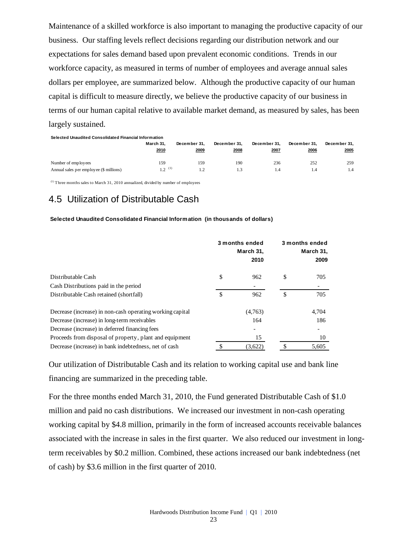Maintenance of a skilled workforce is also important to managing the productive capacity of our business. Our staffing levels reflect decisions regarding our distribution network and our expectations for sales demand based upon prevalent economic conditions. Trends in our workforce capacity, as measured in terms of number of employees and average annual sales dollars per employee, are summarized below. Although the productive capacity of our human capital is difficult to measure directly, we believe the productive capacity of our business in terms of our human capital relative to available market demand, as measured by sales, has been largely sustained.

|                                         | March 31.  | December 31. | December 31, | December 31, | December 31. | December 31. |
|-----------------------------------------|------------|--------------|--------------|--------------|--------------|--------------|
|                                         | 2010       | 2009         | 2008         | 2007         | 2006         | 2005         |
| Number of employees                     | 159        | 159          | 190          | 236          | 252          | 259          |
| Annual sales per employee (\$ millions) | $12^{(1)}$ | 12           | 1.3          | 1.4          | 1.4          | 1.4          |

(1) Three months sales to March 31, 2010 annualized, divided by number of employees

## 4.5 Utilization of Distributable Cash

#### **Selected Unaudited Consolidated Financial Information (in thousands of dollars)**

|                                                           | 3 months ended<br>March 31,<br>2010 |    | 3 months ended<br>March 31,<br>2009 |
|-----------------------------------------------------------|-------------------------------------|----|-------------------------------------|
| Distributable Cash                                        | \$<br>962                           | \$ | 705                                 |
| Cash Distributions paid in the period                     |                                     |    |                                     |
| Distributable Cash retained (shortfall)                   | \$<br>962                           | \$ | 705                                 |
| Decrease (increase) in non-cash operating working capital | (4,763)                             |    | 4.704                               |
| Decrease (increase) in long-term receivables              | 164                                 |    | 186                                 |
| Decrease (increase) in deferred financing fees            |                                     |    |                                     |
| Proceeds from disposal of property, plant and equipment   | 15                                  |    | 10                                  |
| Decrease (increase) in bank indebtedness, net of cash     | \$<br>(3,622)                       | S  | 5,605                               |

Our utilization of Distributable Cash and its relation to working capital use and bank line financing are summarized in the preceding table.

For the three months ended March 31, 2010, the Fund generated Distributable Cash of \$1.0 million and paid no cash distributions. We increased our investment in non-cash operating working capital by \$4.8 million, primarily in the form of increased accounts receivable balances associated with the increase in sales in the first quarter. We also reduced our investment in longterm receivables by \$0.2 million. Combined, these actions increased our bank indebtedness (net of cash) by \$3.6 million in the first quarter of 2010.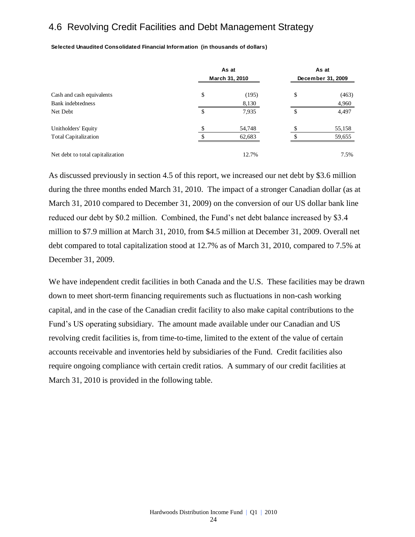## 4.6 Revolving Credit Facilities and Debt Management Strategy

|                                  | As at<br>March 31, 2010 |    | As at<br>December 31, 2009 |
|----------------------------------|-------------------------|----|----------------------------|
|                                  |                         |    |                            |
| Cash and cash equivalents        | \$<br>(195)             | \$ | (463)                      |
| Bank indebtedness                | 8,130                   |    | 4,960                      |
| Net Debt                         | \$<br>7,935             | \$ | 4,497                      |
| Unitholders' Equity              | \$<br>54,748            | \$ | 55,158                     |
| <b>Total Capitalization</b>      | 62,683                  | \$ | 59,655                     |
| Net debt to total capitalization | 12.7%                   |    | 7.5%                       |

**Selected Unaudited Consolidated Financial Information (in thousands of dollars)**

As discussed previously in section 4.5 of this report, we increased our net debt by \$3.6 million during the three months ended March 31, 2010. The impact of a stronger Canadian dollar (as at March 31, 2010 compared to December 31, 2009) on the conversion of our US dollar bank line reduced our debt by \$0.2 million. Combined, the Fund's net debt balance increased by \$3.4 million to \$7.9 million at March 31, 2010, from \$4.5 million at December 31, 2009. Overall net debt compared to total capitalization stood at 12.7% as of March 31, 2010, compared to 7.5% at December 31, 2009.

We have independent credit facilities in both Canada and the U.S. These facilities may be drawn down to meet short-term financing requirements such as fluctuations in non-cash working capital, and in the case of the Canadian credit facility to also make capital contributions to the Fund's US operating subsidiary. The amount made available under our Canadian and US revolving credit facilities is, from time-to-time, limited to the extent of the value of certain accounts receivable and inventories held by subsidiaries of the Fund. Credit facilities also require ongoing compliance with certain credit ratios. A summary of our credit facilities at March 31, 2010 is provided in the following table.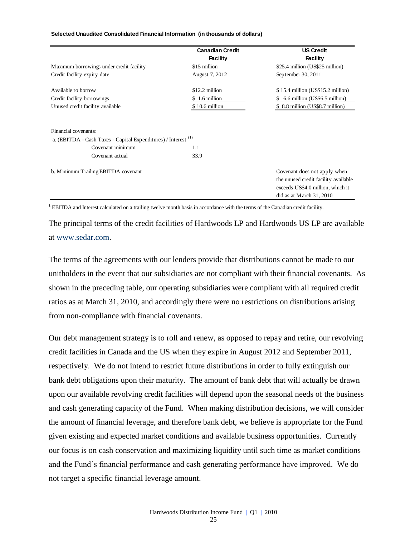#### **Selected Unaudited Consolidated Financial Information (in thousands of dollars)**

|                                                                                                   | <b>Canadian Credit</b> | <b>US Credit</b>                     |
|---------------------------------------------------------------------------------------------------|------------------------|--------------------------------------|
|                                                                                                   | <b>Facility</b>        | <b>Facility</b>                      |
| Maximum borrowings under credit facility                                                          | \$15 million           | \$25.4 million (US\$25 million)      |
| Credit facility expiry date                                                                       | August 7, 2012         | September 30, 2011                   |
| Available to borrow                                                                               | \$12.2 million         | $$15.4$ million (US\$15.2 million)   |
| Credit facility borrowings                                                                        | \$1.6 million          | 6.6 million (US\$6.5 million)        |
| Unused credit facility available                                                                  | \$10.6 million         | \$ 8.8 million (US\$8.7 million)     |
| Financial covenants:<br>a. (EBITDA - Cash Taxes - Capital Expenditures) / Interest <sup>(1)</sup> |                        |                                      |
| Covenant minimum                                                                                  | 1.1                    |                                      |
| Covenant actual                                                                                   | 33.9                   |                                      |
|                                                                                                   |                        |                                      |
| b. Minimum Trailing EBITDA covenant                                                               |                        | Covenant does not apply when         |
|                                                                                                   |                        | the unused credit facility available |
|                                                                                                   |                        | exceeds US\$4.0 million, which it    |
|                                                                                                   |                        | did as at M arch $31, 2010$          |

**<sup>1</sup>** EBITDA and Interest calculated on a trailing twelve month basis in accordance with the terms of the Canadian credit facility.

The principal terms of the credit facilities of Hardwoods LP and Hardwoods US LP are available at [www.sedar.com.](http://www.sedar.com/)

The terms of the agreements with our lenders provide that distributions cannot be made to our unitholders in the event that our subsidiaries are not compliant with their financial covenants. As shown in the preceding table, our operating subsidiaries were compliant with all required credit ratios as at March 31, 2010, and accordingly there were no restrictions on distributions arising from non-compliance with financial covenants.

Our debt management strategy is to roll and renew, as opposed to repay and retire, our revolving credit facilities in Canada and the US when they expire in August 2012 and September 2011, respectively. We do not intend to restrict future distributions in order to fully extinguish our bank debt obligations upon their maturity. The amount of bank debt that will actually be drawn upon our available revolving credit facilities will depend upon the seasonal needs of the business and cash generating capacity of the Fund. When making distribution decisions, we will consider the amount of financial leverage, and therefore bank debt, we believe is appropriate for the Fund given existing and expected market conditions and available business opportunities. Currently our focus is on cash conservation and maximizing liquidity until such time as market conditions and the Fund's financial performance and cash generating performance have improved. We do not target a specific financial leverage amount.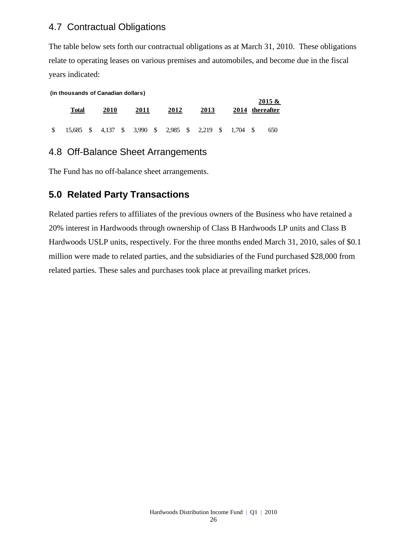## 4.7 Contractual Obligations

The table below sets forth our contractual obligations as at March 31, 2010. These obligations relate to operating leases on various premises and automobiles, and become due in the fiscal years indicated:

**(in thousands of Canadian dollars)**

|    | Total                                                  | 2010 | 2011 | 2012 | 2013 |  | 2015 &<br>2014 thereafter |
|----|--------------------------------------------------------|------|------|------|------|--|---------------------------|
| -S | 15,685 \$ 4,137 \$ 3,990 \$ 2,985 \$ 2,219 \$ 1,704 \$ |      |      |      |      |  | 650                       |

### 4.8 Off-Balance Sheet Arrangements

The Fund has no off-balance sheet arrangements.

## **5.0 Related Party Transactions**

Related parties refers to affiliates of the previous owners of the Business who have retained a 20% interest in Hardwoods through ownership of Class B Hardwoods LP units and Class B Hardwoods USLP units, respectively. For the three months ended March 31, 2010, sales of \$0.1 million were made to related parties, and the subsidiaries of the Fund purchased \$28,000 from related parties. These sales and purchases took place at prevailing market prices.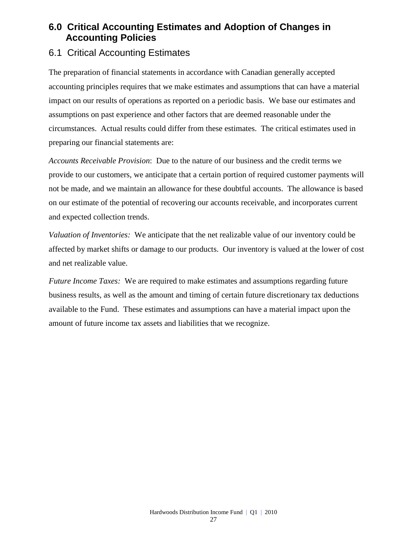## **6.0 Critical Accounting Estimates and Adoption of Changes in Accounting Policies**

## 6.1 Critical Accounting Estimates

The preparation of financial statements in accordance with Canadian generally accepted accounting principles requires that we make estimates and assumptions that can have a material impact on our results of operations as reported on a periodic basis. We base our estimates and assumptions on past experience and other factors that are deemed reasonable under the circumstances. Actual results could differ from these estimates. The critical estimates used in preparing our financial statements are:

*Accounts Receivable Provision*: Due to the nature of our business and the credit terms we provide to our customers, we anticipate that a certain portion of required customer payments will not be made, and we maintain an allowance for these doubtful accounts. The allowance is based on our estimate of the potential of recovering our accounts receivable, and incorporates current and expected collection trends.

*Valuation of Inventories:* We anticipate that the net realizable value of our inventory could be affected by market shifts or damage to our products. Our inventory is valued at the lower of cost and net realizable value.

*Future Income Taxes:* We are required to make estimates and assumptions regarding future business results, as well as the amount and timing of certain future discretionary tax deductions available to the Fund. These estimates and assumptions can have a material impact upon the amount of future income tax assets and liabilities that we recognize.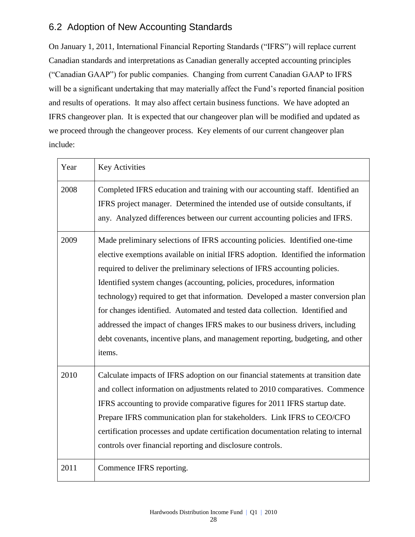## 6.2 Adoption of New Accounting Standards

On January 1, 2011, International Financial Reporting Standards ("IFRS") will replace current Canadian standards and interpretations as Canadian generally accepted accounting principles ("Canadian GAAP") for public companies. Changing from current Canadian GAAP to IFRS will be a significant undertaking that may materially affect the Fund's reported financial position and results of operations. It may also affect certain business functions. We have adopted an IFRS changeover plan. It is expected that our changeover plan will be modified and updated as we proceed through the changeover process. Key elements of our current changeover plan include:

| Year | <b>Key Activities</b>                                                                                                                                                                                                                                                                                                                                                                                                                                                                                                                                                                                                                                                           |
|------|---------------------------------------------------------------------------------------------------------------------------------------------------------------------------------------------------------------------------------------------------------------------------------------------------------------------------------------------------------------------------------------------------------------------------------------------------------------------------------------------------------------------------------------------------------------------------------------------------------------------------------------------------------------------------------|
| 2008 | Completed IFRS education and training with our accounting staff. Identified an<br>IFRS project manager. Determined the intended use of outside consultants, if<br>any. Analyzed differences between our current accounting policies and IFRS.                                                                                                                                                                                                                                                                                                                                                                                                                                   |
| 2009 | Made preliminary selections of IFRS accounting policies. Identified one-time<br>elective exemptions available on initial IFRS adoption. Identified the information<br>required to deliver the preliminary selections of IFRS accounting policies.<br>Identified system changes (accounting, policies, procedures, information<br>technology) required to get that information. Developed a master conversion plan<br>for changes identified. Automated and tested data collection. Identified and<br>addressed the impact of changes IFRS makes to our business drivers, including<br>debt covenants, incentive plans, and management reporting, budgeting, and other<br>items. |
| 2010 | Calculate impacts of IFRS adoption on our financial statements at transition date<br>and collect information on adjustments related to 2010 comparatives. Commence<br>IFRS accounting to provide comparative figures for 2011 IFRS startup date.<br>Prepare IFRS communication plan for stakeholders. Link IFRS to CEO/CFO<br>certification processes and update certification documentation relating to internal<br>controls over financial reporting and disclosure controls.                                                                                                                                                                                                 |
| 2011 | Commence IFRS reporting.                                                                                                                                                                                                                                                                                                                                                                                                                                                                                                                                                                                                                                                        |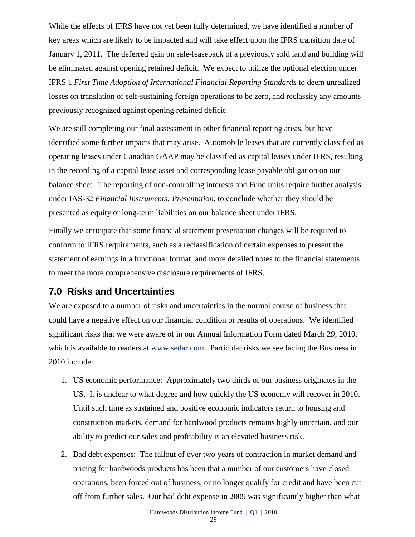While the effects of IFRS have not yet been fully determined, we have identified a number of key areas which are likely to be impacted and will take effect upon the IFRS transition date of January 1, 2011. The deferred gain on sale-leaseback of a previously sold land and building will be eliminated against opening retained deficit. We expect to utilize the optional election under IFRS 1 *First Time Adoption of International Financial Reporting Standards* to deem unrealized losses on translation of self-sustaining foreign operations to be zero, and reclassify any amounts previously recognized against opening retained deficit.

We are still completing our final assessment in other financial reporting areas, but have identified some further impacts that may arise. Automobile leases that are currently classified as operating leases under Canadian GAAP may be classified as capital leases under IFRS, resulting in the recording of a capital lease asset and corresponding lease payable obligation on our balance sheet. The reporting of non-controlling interests and Fund units require further analysis under IAS-32 *Financial Instruments: Presentation*, to conclude whether they should be presented as equity or long-term liabilities on our balance sheet under IFRS.

Finally we anticipate that some financial statement presentation changes will be required to conform to IFRS requirements, such as a reclassification of certain expenses to present the statement of earnings in a functional format, and more detailed notes to the financial statements to meet the more comprehensive disclosure requirements of IFRS.

## **7.0 Risks and Uncertainties**

We are exposed to a number of risks and uncertainties in the normal course of business that could have a negative effect on our financial condition or results of operations. We identified significant risks that we were aware of in our Annual Information Form dated March 29, 2010, which is available to readers at [www.sedar.com.](http://www.sedar.com/) Particular risks we see facing the Business in 2010 include:

- 1. US economic performance: Approximately two thirds of our business originates in the US. It is unclear to what degree and how quickly the US economy will recover in 2010. Until such time as sustained and positive economic indicators return to housing and construction markets, demand for hardwood products remains highly uncertain, and our ability to predict our sales and profitability is an elevated business risk.
- 2. Bad debt expenses: The fallout of over two years of contraction in market demand and pricing for hardwoods products has been that a number of our customers have closed operations, been forced out of business, or no longer qualify for credit and have been cut off from further sales. Our bad debt expense in 2009 was significantly higher than what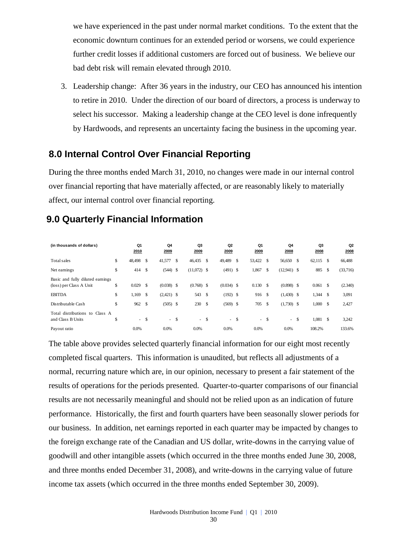we have experienced in the past under normal market conditions. To the extent that the economic downturn continues for an extended period or worsens, we could experience further credit losses if additional customers are forced out of business. We believe our bad debt risk will remain elevated through 2010.

3. Leadership change: After 36 years in the industry, our CEO has announced his intention to retire in 2010. Under the direction of our board of directors, a process is underway to select his successor. Making a leadership change at the CEO level is done infrequently by Hardwoods, and represents an uncertainty facing the business in the upcoming year.

## **8.0 Internal Control Over Financial Reporting**

During the three months ended March 31, 2010, no changes were made in our internal control over financial reporting that have materially affected, or are reasonably likely to materially affect, our internal control over financial reporting.

## **9.0 Quarterly Financial Information**

| (in thousands of dollars)                                                    |          | Q1<br>2010     |                                | Q4<br>2009                   |               | Q3<br>2009          |       | Q <sub>2</sub><br>2009     |   | Q1<br>2009      |                                | Q4<br>2008                   | Q3<br>2008          |      | Q <sub>2</sub><br>2008 |
|------------------------------------------------------------------------------|----------|----------------|--------------------------------|------------------------------|---------------|---------------------|-------|----------------------------|---|-----------------|--------------------------------|------------------------------|---------------------|------|------------------------|
| Total sales                                                                  | \$       | 48,498         | \$                             | 41,577                       | \$            | 46,435 \$           |       | 49,489                     | S | 53,422          | \$                             | 56,650 \$                    | 62,115 \$           |      | 66,488                 |
| Net earnings                                                                 | \$       | 414            | <sup>\$</sup>                  | $(544)$ \$                   |               | $(11,072)$ \$       |       | $(491)$ \$                 |   | 1,867           | \$                             | $(12,941)$ \$                | 885                 | -S   | (33,716)               |
| Basic and fully diluted earnings<br>(loss) per Class A Unit<br><b>EBITDA</b> | \$<br>\$ | 0.029<br>1,169 | <sup>\$</sup><br><sup>\$</sup> | $(0.038)$ \$<br>$(2,421)$ \$ |               | $(0.768)$ \$<br>543 | -S    | $(0.034)$ \$<br>$(192)$ \$ |   | 0.130<br>916    | <sup>\$</sup><br><sup>\$</sup> | $(0.898)$ \$<br>$(1,430)$ \$ | 0.061<br>$1,344$ \$ | -S   | (2.340)<br>3,091       |
| Distributable Cash                                                           | \$       | 962            | - \$                           | $(505)$ \$                   |               | 230                 | - \$  | $(569)$ \$                 |   | 705             | <sup>\$</sup>                  | $(1,730)$ \$                 | 1,000S              |      | 2,427                  |
| Total distributions to Class A<br>and Class B Units                          | \$       | $\sim$         | - \$                           | $\sim$                       | <sup>\$</sup> |                     | $- S$ | $-$ \$                     |   | $\sim 10^{-11}$ | <sup>\$</sup>                  | $\sim$                       | \$<br>1,081         | - \$ | 3,242                  |
| Payout ratio                                                                 |          | 0.0%           |                                | 0.0%                         |               | 0.0%                |       | 0.0%                       |   | 0.0%            |                                | 0.0%                         | 108.2%              |      | 133.6%                 |

The table above provides selected quarterly financial information for our eight most recently completed fiscal quarters. This information is unaudited, but reflects all adjustments of a normal, recurring nature which are, in our opinion, necessary to present a fair statement of the results of operations for the periods presented. Quarter-to-quarter comparisons of our financial results are not necessarily meaningful and should not be relied upon as an indication of future performance. Historically, the first and fourth quarters have been seasonally slower periods for our business. In addition, net earnings reported in each quarter may be impacted by changes to the foreign exchange rate of the Canadian and US dollar, write-downs in the carrying value of goodwill and other intangible assets (which occurred in the three months ended June 30, 2008, and three months ended December 31, 2008), and write-downs in the carrying value of future income tax assets (which occurred in the three months ended September 30, 2009).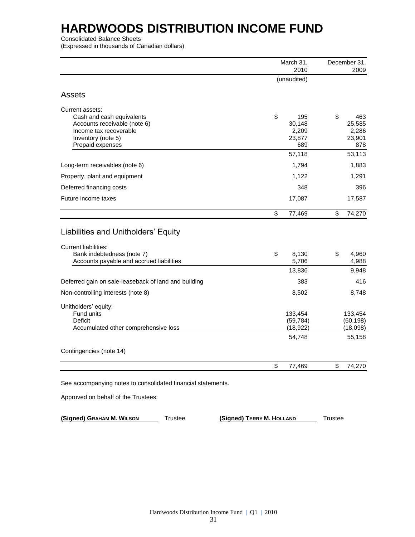Consolidated Balance Sheets

(Expressed in thousands of Canadian dollars)

|                                                                                                                                                                                                                                                                                                                                                                                                                                                                                                            | March 31,<br>2010                                    | December 31,<br>2009                                |
|------------------------------------------------------------------------------------------------------------------------------------------------------------------------------------------------------------------------------------------------------------------------------------------------------------------------------------------------------------------------------------------------------------------------------------------------------------------------------------------------------------|------------------------------------------------------|-----------------------------------------------------|
|                                                                                                                                                                                                                                                                                                                                                                                                                                                                                                            | (unaudited)                                          |                                                     |
| <b>Assets</b>                                                                                                                                                                                                                                                                                                                                                                                                                                                                                              |                                                      |                                                     |
| Current assets:<br>Cash and cash equivalents<br>Accounts receivable (note 6)<br>Income tax recoverable<br>Inventory (note 5)<br>Prepaid expenses<br>Long-term receivables (note 6)<br>Property, plant and equipment<br>Bank indebtedness (note 7)<br>Accounts payable and accrued liabilities<br>Deferred gain on sale-leaseback of land and building<br>Non-controlling interests (note 8)<br><b>Fund units</b><br>Deficit<br>Accumulated other comprehensive loss<br>Approved on behalf of the Trustees: | \$<br>195<br>30,148<br>2,209<br>23,877<br>689        | \$<br>463<br>25,585<br>2,286<br>23,901<br>878       |
|                                                                                                                                                                                                                                                                                                                                                                                                                                                                                                            | 57,118                                               | 53,113                                              |
|                                                                                                                                                                                                                                                                                                                                                                                                                                                                                                            | 1,794                                                | 1,883                                               |
|                                                                                                                                                                                                                                                                                                                                                                                                                                                                                                            | 1,122                                                | 1,291                                               |
| Deferred financing costs                                                                                                                                                                                                                                                                                                                                                                                                                                                                                   | 348                                                  | 396                                                 |
| Future income taxes                                                                                                                                                                                                                                                                                                                                                                                                                                                                                        | 17,087                                               | 17,587                                              |
|                                                                                                                                                                                                                                                                                                                                                                                                                                                                                                            | \$<br>77,469                                         | \$<br>74,270                                        |
| Liabilities and Unitholders' Equity<br><b>Current liabilities:</b>                                                                                                                                                                                                                                                                                                                                                                                                                                         | \$<br>8,130<br>5,706                                 | \$<br>4,960<br>4,988                                |
|                                                                                                                                                                                                                                                                                                                                                                                                                                                                                                            | 13,836                                               | 9,948                                               |
|                                                                                                                                                                                                                                                                                                                                                                                                                                                                                                            | 383                                                  | 416                                                 |
| Unitholders' equity:                                                                                                                                                                                                                                                                                                                                                                                                                                                                                       | 8,502<br>133,454<br>(59, 784)<br>(18, 922)<br>54,748 | 8,748<br>133,454<br>(60, 198)<br>(18,098)<br>55,158 |
| Contingencies (note 14)                                                                                                                                                                                                                                                                                                                                                                                                                                                                                    |                                                      |                                                     |
|                                                                                                                                                                                                                                                                                                                                                                                                                                                                                                            | \$<br>77,469                                         | \$<br>74,270                                        |
| See accompanying notes to consolidated financial statements.                                                                                                                                                                                                                                                                                                                                                                                                                                               |                                                      |                                                     |
|                                                                                                                                                                                                                                                                                                                                                                                                                                                                                                            |                                                      |                                                     |

**(Signed) GRAHAM M. WILSON** Trustee **(Signed) TERRY M. HOLLAND** Trustee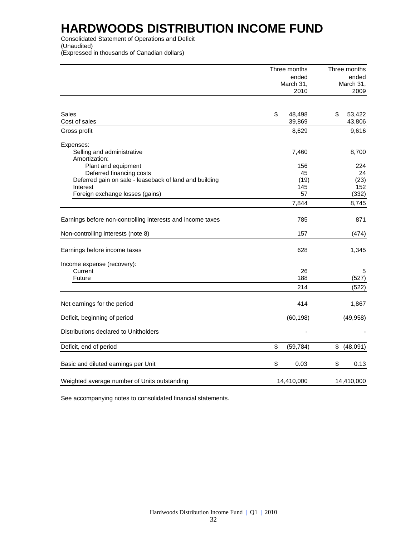Consolidated Statement of Operations and Deficit (Unaudited) (Expressed in thousands of Canadian dollars)

|                                                            | Three months    | Three months   |
|------------------------------------------------------------|-----------------|----------------|
|                                                            | ended           | ended          |
|                                                            | March 31,       | March 31,      |
|                                                            | 2010            | 2009           |
| Sales                                                      | \$<br>48,498    | \$<br>53,422   |
| Cost of sales                                              | 39,869          | 43,806         |
| Gross profit                                               | 8,629           | 9,616          |
| Expenses:                                                  |                 |                |
| Selling and administrative<br>Amortization:                | 7,460           | 8,700          |
| Plant and equipment                                        | 156             | 224            |
| Deferred financing costs                                   | 45              | 24             |
| Deferred gain on sale - leaseback of land and building     | (19)            | (23)           |
| Interest                                                   | 145             | 152            |
| Foreign exchange losses (gains)                            | 57              | (332)          |
|                                                            | 7,844           | 8,745          |
| Earnings before non-controlling interests and income taxes | 785             | 871            |
| Non-controlling interests (note 8)                         | 157             | (474)          |
| Earnings before income taxes                               | 628             | 1,345          |
| Income expense (recovery):                                 |                 |                |
| Current                                                    | 26              | 5              |
| Future                                                     | 188             | (527)          |
|                                                            | 214             | (522)          |
| Net earnings for the period                                | 414             | 1,867          |
| Deficit, beginning of period                               | (60, 198)       | (49, 958)      |
| Distributions declared to Unitholders                      |                 |                |
| Deficit, end of period                                     | \$<br>(59, 784) | \$<br>(48,091) |
|                                                            |                 |                |
| Basic and diluted earnings per Unit                        | \$<br>0.03      | \$<br>0.13     |
| Weighted average number of Units outstanding               | 14,410,000      | 14,410,000     |

See accompanying notes to consolidated financial statements.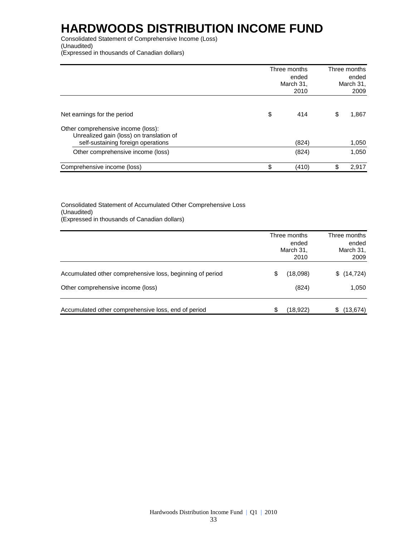Consolidated Statement of Comprehensive Income (Loss) (Unaudited) (Expressed in thousands of Canadian dollars)

|                                                                                                                      | Three months<br>ended<br>March 31.<br>2010 | Three months<br>ended<br>March 31,<br>2009 |  |
|----------------------------------------------------------------------------------------------------------------------|--------------------------------------------|--------------------------------------------|--|
| Net earnings for the period                                                                                          | \$<br>414                                  | \$<br>1.867                                |  |
| Other comprehensive income (loss):<br>Unrealized gain (loss) on translation of<br>self-sustaining foreign operations | (824)                                      | 1,050                                      |  |
| Other comprehensive income (loss)                                                                                    | (824)                                      | 1.050                                      |  |
| Comprehensive income (loss)                                                                                          | \$<br>(410)                                | \$<br>2.917                                |  |

Consolidated Statement of Accumulated Other Comprehensive Loss (Unaudited) (Expressed in thousands of Canadian dollars)

|                                                           |   | Three months<br>ended<br>March 31,<br>2010 | Three months<br>ended<br>March 31,<br>2009 |
|-----------------------------------------------------------|---|--------------------------------------------|--------------------------------------------|
| Accumulated other comprehensive loss, beginning of period | S | (18,098)                                   | \$(14,724)                                 |
| Other comprehensive income (loss)                         |   | (824)                                      | 1,050                                      |
| Accumulated other comprehensive loss, end of period       | S | (18,922)                                   | (13, 674)<br>S                             |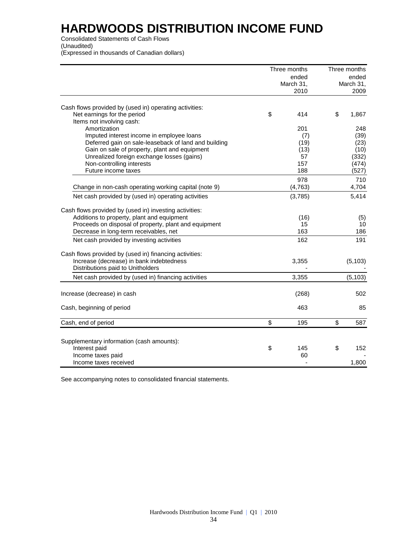Consolidated Statements of Cash Flows (Unaudited) (Expressed in thousands of Canadian dollars)

|                                                                                                    | Three months | Three months |
|----------------------------------------------------------------------------------------------------|--------------|--------------|
|                                                                                                    | ended        | ended        |
|                                                                                                    | March 31,    | March 31,    |
|                                                                                                    | 2010         | 2009         |
| Cash flows provided by (used in) operating activities:                                             |              |              |
| Net earnings for the period                                                                        | \$<br>414    | \$<br>1,867  |
| Items not involving cash:                                                                          |              |              |
| Amortization                                                                                       | 201          | 248          |
| Imputed interest income in employee loans                                                          | (7)          | (39)         |
| Deferred gain on sale-leaseback of land and building                                               | (19)         | (23)         |
| Gain on sale of property, plant and equipment                                                      | (13)         | (10)         |
| Unrealized foreign exchange losses (gains)                                                         | 57           | (332)        |
| Non-controlling interests                                                                          | 157          | (474)        |
| Future income taxes                                                                                | 188          |              |
|                                                                                                    |              | (527)        |
|                                                                                                    | 978          | 710          |
| Change in non-cash operating working capital (note 9)                                              | (4, 763)     | 4,704        |
| Net cash provided by (used in) operating activities                                                | (3,785)      | 5,414        |
| Cash flows provided by (used in) investing activities:                                             |              |              |
| Additions to property, plant and equipment                                                         | (16)         | (5)          |
| Proceeds on disposal of property, plant and equipment                                              | 15           | 10           |
| Decrease in long-term receivables, net                                                             | 163          | 186          |
| Net cash provided by investing activities                                                          | 162          | 191          |
|                                                                                                    |              |              |
| Cash flows provided by (used in) financing activities:<br>Increase (decrease) in bank indebtedness | 3,355        | (5, 103)     |
| Distributions paid to Unitholders                                                                  |              |              |
|                                                                                                    |              |              |
| Net cash provided by (used in) financing activities                                                | 3,355        | (5, 103)     |
| Increase (decrease) in cash                                                                        | (268)        | 502          |
| Cash, beginning of period                                                                          | 463          | 85           |
| Cash, end of period                                                                                | \$<br>195    | \$<br>587    |
|                                                                                                    |              |              |
| Supplementary information (cash amounts):                                                          |              |              |
| Interest paid                                                                                      | \$<br>145    | \$<br>152    |
| Income taxes paid                                                                                  | 60           |              |
| Income taxes received                                                                              |              | 1,800        |

See accompanying notes to consolidated financial statements.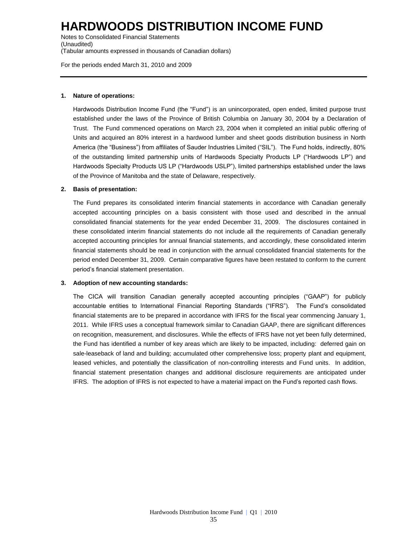Notes to Consolidated Financial Statements (Unaudited) (Tabular amounts expressed in thousands of Canadian dollars)

For the periods ended March 31, 2010 and 2009

#### **1. Nature of operations:**

Hardwoods Distribution Income Fund (the "Fund") is an unincorporated, open ended, limited purpose trust established under the laws of the Province of British Columbia on January 30, 2004 by a Declaration of Trust. The Fund commenced operations on March 23, 2004 when it completed an initial public offering of Units and acquired an 80% interest in a hardwood lumber and sheet goods distribution business in North America (the "Business") from affiliates of Sauder Industries Limited ("SIL"). The Fund holds, indirectly, 80% of the outstanding limited partnership units of Hardwoods Specialty Products LP ("Hardwoods LP") and Hardwoods Specialty Products US LP ("Hardwoods USLP"), limited partnerships established under the laws of the Province of Manitoba and the state of Delaware, respectively.

### **2. Basis of presentation:**

The Fund prepares its consolidated interim financial statements in accordance with Canadian generally accepted accounting principles on a basis consistent with those used and described in the annual consolidated financial statements for the year ended December 31, 2009. The disclosures contained in these consolidated interim financial statements do not include all the requirements of Canadian generally accepted accounting principles for annual financial statements, and accordingly, these consolidated interim financial statements should be read in conjunction with the annual consolidated financial statements for the period ended December 31, 2009. Certain comparative figures have been restated to conform to the current period's financial statement presentation.

#### **3. Adoption of new accounting standards:**

The CICA will transition Canadian generally accepted accounting principles ("GAAP") for publicly accountable entities to International Financial Reporting Standards ("IFRS"). The Fund's consolidated financial statements are to be prepared in accordance with IFRS for the fiscal year commencing January 1, 2011. While IFRS uses a conceptual framework similar to Canadian GAAP, there are significant differences on recognition, measurement, and disclosures. While the effects of IFRS have not yet been fully determined, the Fund has identified a number of key areas which are likely to be impacted, including: deferred gain on sale-leaseback of land and building; accumulated other comprehensive loss; property plant and equipment, leased vehicles, and potentially the classification of non-controlling interests and Fund units. In addition, financial statement presentation changes and additional disclosure requirements are anticipated under IFRS. The adoption of IFRS is not expected to have a material impact on the Fund's reported cash flows.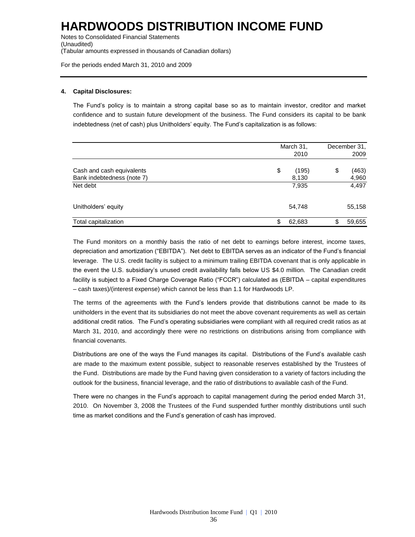Notes to Consolidated Financial Statements (Unaudited) (Tabular amounts expressed in thousands of Canadian dollars)

For the periods ended March 31, 2010 and 2009

### **4. Capital Disclosures:**

The Fund's policy is to maintain a strong capital base so as to maintain investor, creditor and market confidence and to sustain future development of the business. The Fund considers its capital to be bank indebtedness (net of cash) plus Unitholders' equity. The Fund's capitalization is as follows:

|                                                         | March 31,<br>2010    | December 31,<br>2009 |
|---------------------------------------------------------|----------------------|----------------------|
| Cash and cash equivalents<br>Bank indebtedness (note 7) | \$<br>(195)<br>8,130 | \$<br>(463)<br>4,960 |
| Net debt                                                | 7,935                | 4,497                |
| Unitholders' equity                                     | 54,748               | 55,158               |
| Total capitalization                                    | \$<br>62,683         | 59,655               |

The Fund monitors on a monthly basis the ratio of net debt to earnings before interest, income taxes, depreciation and amortization ("EBITDA"). Net debt to EBITDA serves as an indicator of the Fund's financial leverage. The U.S. credit facility is subject to a minimum trailing EBITDA covenant that is only applicable in the event the U.S. subsidiary's unused credit availability falls below US \$4.0 million. The Canadian credit facility is subject to a Fixed Charge Coverage Ratio ("FCCR") calculated as (EBITDA – capital expenditures – cash taxes)/(interest expense) which cannot be less than 1.1 for Hardwoods LP.

The terms of the agreements with the Fund's lenders provide that distributions cannot be made to its unitholders in the event that its subsidiaries do not meet the above covenant requirements as well as certain additional credit ratios. The Fund's operating subsidiaries were compliant with all required credit ratios as at March 31, 2010, and accordingly there were no restrictions on distributions arising from compliance with financial covenants.

Distributions are one of the ways the Fund manages its capital. Distributions of the Fund's available cash are made to the maximum extent possible, subject to reasonable reserves established by the Trustees of the Fund. Distributions are made by the Fund having given consideration to a variety of factors including the outlook for the business, financial leverage, and the ratio of distributions to available cash of the Fund.

There were no changes in the Fund's approach to capital management during the period ended March 31, 2010. On November 3, 2008 the Trustees of the Fund suspended further monthly distributions until such time as market conditions and the Fund's generation of cash has improved.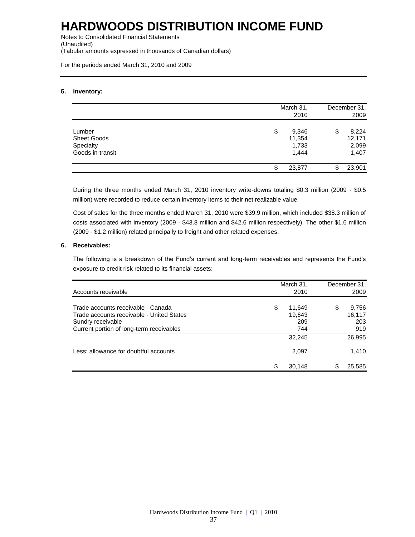Notes to Consolidated Financial Statements (Unaudited) (Tabular amounts expressed in thousands of Canadian dollars)

For the periods ended March 31, 2010 and 2009

### **5. Inventory:**

|                                                               | March 31,<br>2010                       |    | December 31,<br>2009              |
|---------------------------------------------------------------|-----------------------------------------|----|-----------------------------------|
| Lumber<br><b>Sheet Goods</b><br>Specialty<br>Goods in-transit | \$<br>9,346<br>11,354<br>1,733<br>1,444 | S  | 8,224<br>12,171<br>2,099<br>1,407 |
|                                                               | 23,877                                  | \$ | 23,901                            |

During the three months ended March 31, 2010 inventory write-downs totaling \$0.3 million (2009 - \$0.5 million) were recorded to reduce certain inventory items to their net realizable value.

Cost of sales for the three months ended March 31, 2010 were \$39.9 million, which included \$38.3 million of costs associated with inventory (2009 - \$43.8 million and \$42.6 million respectively). The other \$1.6 million (2009 - \$1.2 million) related principally to freight and other related expenses.

### **6. Receivables:**

The following is a breakdown of the Fund's current and long-term receivables and represents the Fund's exposure to credit risk related to its financial assets:

|                                           | March 31,    | December 31, |
|-------------------------------------------|--------------|--------------|
| Accounts receivable                       | 2010         | 2009         |
| Trade accounts receivable - Canada        | \$<br>11,649 | 9.756        |
| Trade accounts receivable - United States | 19,643       | 16,117       |
| Sundry receivable                         | 209          | 203          |
| Current portion of long-term receivables  | 744          | 919          |
|                                           | 32.245       | 26,995       |
| Less: allowance for doubtful accounts     | 2,097        | 1.410        |
|                                           | \$<br>30.148 | 25.585       |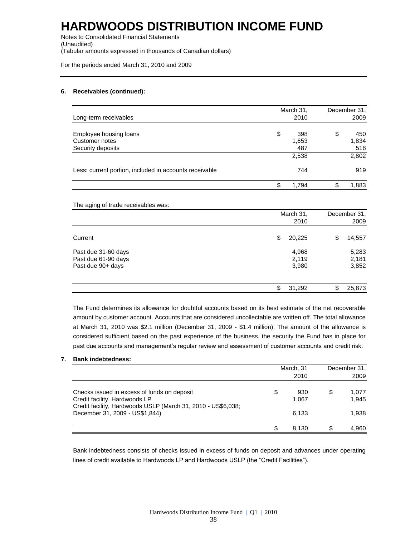Notes to Consolidated Financial Statements (Unaudited) (Tabular amounts expressed in thousands of Canadian dollars)

For the periods ended March 31, 2010 and 2009

#### **6. Receivables (continued):**

|                                                        | March 31,   |    | December 31, |
|--------------------------------------------------------|-------------|----|--------------|
| Long-term receivables                                  | 2010        |    | 2009         |
| Employee housing loans                                 | \$<br>398   | \$ | 450          |
| Customer notes                                         | 1,653       |    | 1,834        |
| Security deposits                                      | 487         |    | 518          |
|                                                        | 2,538       |    | 2,802        |
| Less: current portion, included in accounts receivable | 744         |    | 919          |
|                                                        | \$<br>1,794 | ጦ  | 1,883        |

| The aging of trade receivables was: |           |        |              |        |  |
|-------------------------------------|-----------|--------|--------------|--------|--|
|                                     | March 31, |        | December 31, |        |  |
|                                     |           | 2010   |              | 2009   |  |
| Current                             | \$        | 20,225 | \$           | 14,557 |  |
| Past due 31-60 days                 |           | 4,968  |              | 5,283  |  |
| Past due 61-90 days                 |           | 2,119  |              | 2,181  |  |
| Past due 90+ days                   |           | 3,980  |              | 3,852  |  |
|                                     | \$        | 31,292 | \$           | 25,873 |  |

The Fund determines its allowance for doubtful accounts based on its best estimate of the net recoverable amount by customer account. Accounts that are considered uncollectable are written off. The total allowance at March 31, 2010 was \$2.1 million (December 31, 2009 - \$1.4 million). The amount of the allowance is considered sufficient based on the past experience of the business, the security the Fund has in place for past due accounts and management's regular review and assessment of customer accounts and credit risk.

### **7. Bank indebtedness:**

|                                                                                                                                              | March, 31<br>2010 |              | December 31, |                | 2009 |
|----------------------------------------------------------------------------------------------------------------------------------------------|-------------------|--------------|--------------|----------------|------|
| Checks issued in excess of funds on deposit<br>Credit facility, Hardwoods LP<br>Credit facility, Hardwoods USLP (March 31, 2010 - US\$6,038; | \$                | 930<br>1,067 | S            | 1.077<br>1.945 |      |
| December 31, 2009 - US\$1,844)                                                                                                               |                   | 6.133        |              | 1.938          |      |
|                                                                                                                                              |                   | 8.130        |              | 4.960          |      |

Bank indebtedness consists of checks issued in excess of funds on deposit and advances under operating lines of credit available to Hardwoods LP and Hardwoods USLP (the "Credit Facilities").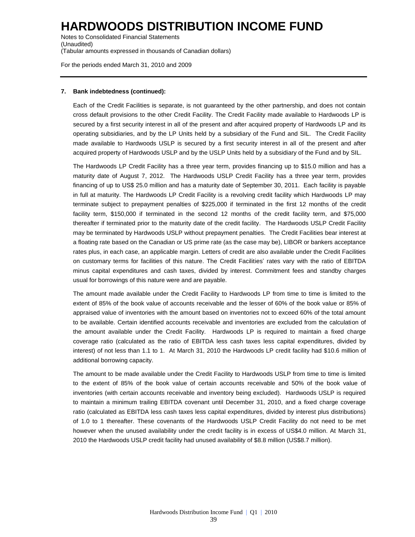Notes to Consolidated Financial Statements (Unaudited) (Tabular amounts expressed in thousands of Canadian dollars)

For the periods ended March 31, 2010 and 2009

### **7. Bank indebtedness (continued):**

Each of the Credit Facilities is separate, is not guaranteed by the other partnership, and does not contain cross default provisions to the other Credit Facility. The Credit Facility made available to Hardwoods LP is secured by a first security interest in all of the present and after acquired property of Hardwoods LP and its operating subsidiaries, and by the LP Units held by a subsidiary of the Fund and SIL. The Credit Facility made available to Hardwoods USLP is secured by a first security interest in all of the present and after acquired property of Hardwoods USLP and by the USLP Units held by a subsidiary of the Fund and by SIL.

The Hardwoods LP Credit Facility has a three year term, provides financing up to \$15.0 million and has a maturity date of August 7, 2012. The Hardwoods USLP Credit Facility has a three year term, provides financing of up to US\$ 25.0 million and has a maturity date of September 30, 2011. Each facility is payable in full at maturity. The Hardwoods LP Credit Facility is a revolving credit facility which Hardwoods LP may terminate subject to prepayment penalties of \$225,000 if terminated in the first 12 months of the credit facility term, \$150,000 if terminated in the second 12 months of the credit facility term, and \$75,000 thereafter if terminated prior to the maturity date of the credit facility. The Hardwoods USLP Credit Facility may be terminated by Hardwoods USLP without prepayment penalties. The Credit Facilities bear interest at a floating rate based on the Canadian or US prime rate (as the case may be), LIBOR or bankers acceptance rates plus, in each case, an applicable margin. Letters of credit are also available under the Credit Facilities on customary terms for facilities of this nature. The Credit Facilities' rates vary with the ratio of EBITDA minus capital expenditures and cash taxes, divided by interest. Commitment fees and standby charges usual for borrowings of this nature were and are payable.

The amount made available under the Credit Facility to Hardwoods LP from time to time is limited to the extent of 85% of the book value of accounts receivable and the lesser of 60% of the book value or 85% of appraised value of inventories with the amount based on inventories not to exceed 60% of the total amount to be available. Certain identified accounts receivable and inventories are excluded from the calculation of the amount available under the Credit Facility. Hardwoods LP is required to maintain a fixed charge coverage ratio (calculated as the ratio of EBITDA less cash taxes less capital expenditures, divided by interest) of not less than 1.1 to 1. At March 31, 2010 the Hardwoods LP credit facility had \$10.6 million of additional borrowing capacity.

The amount to be made available under the Credit Facility to Hardwoods USLP from time to time is limited to the extent of 85% of the book value of certain accounts receivable and 50% of the book value of inventories (with certain accounts receivable and inventory being excluded). Hardwoods USLP is required to maintain a minimum trailing EBITDA covenant until December 31, 2010, and a fixed charge coverage ratio (calculated as EBITDA less cash taxes less capital expenditures, divided by interest plus distributions) of 1.0 to 1 thereafter. These covenants of the Hardwoods USLP Credit Facility do not need to be met however when the unused availability under the credit facility is in excess of US\$4.0 million. At March 31, 2010 the Hardwoods USLP credit facility had unused availability of \$8.8 million (US\$8.7 million).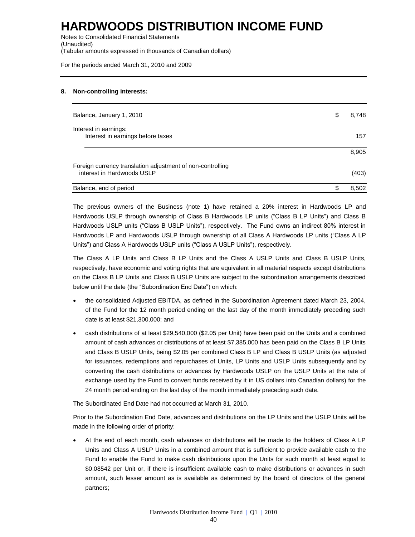Notes to Consolidated Financial Statements (Unaudited) (Tabular amounts expressed in thousands of Canadian dollars)

For the periods ended March 31, 2010 and 2009

#### **8. Non-controlling interests:**

| Balance, January 1, 2010                                                                 | S | 8,748 |
|------------------------------------------------------------------------------------------|---|-------|
| Interest in earnings:<br>Interest in earnings before taxes                               |   | 157   |
|                                                                                          |   | 8,905 |
| Foreign currency translation adjustment of non-controlling<br>interest in Hardwoods USLP |   | (403) |
| Balance, end of period                                                                   |   | 8,502 |

The previous owners of the Business (note 1) have retained a 20% interest in Hardwoods LP and Hardwoods USLP through ownership of Class B Hardwoods LP units ("Class B LP Units") and Class B Hardwoods USLP units ("Class B USLP Units"), respectively. The Fund owns an indirect 80% interest in Hardwoods LP and Hardwoods USLP through ownership of all Class A Hardwoods LP units ("Class A LP Units") and Class A Hardwoods USLP units ("Class A USLP Units"), respectively.

The Class A LP Units and Class B LP Units and the Class A USLP Units and Class B USLP Units, respectively, have economic and voting rights that are equivalent in all material respects except distributions on the Class B LP Units and Class B USLP Units are subject to the subordination arrangements described below until the date (the "Subordination End Date") on which:

- the consolidated Adjusted EBITDA, as defined in the Subordination Agreement dated March 23, 2004, of the Fund for the 12 month period ending on the last day of the month immediately preceding such date is at least \$21,300,000; and
- cash distributions of at least \$29,540,000 (\$2.05 per Unit) have been paid on the Units and a combined amount of cash advances or distributions of at least \$7,385,000 has been paid on the Class B LP Units and Class B USLP Units, being \$2.05 per combined Class B LP and Class B USLP Units (as adjusted for issuances, redemptions and repurchases of Units, LP Units and USLP Units subsequently and by converting the cash distributions or advances by Hardwoods USLP on the USLP Units at the rate of exchange used by the Fund to convert funds received by it in US dollars into Canadian dollars) for the 24 month period ending on the last day of the month immediately preceding such date.

The Subordinated End Date had not occurred at March 31, 2010.

Prior to the Subordination End Date, advances and distributions on the LP Units and the USLP Units will be made in the following order of priority:

 At the end of each month, cash advances or distributions will be made to the holders of Class A LP Units and Class A USLP Units in a combined amount that is sufficient to provide available cash to the Fund to enable the Fund to make cash distributions upon the Units for such month at least equal to \$0.08542 per Unit or, if there is insufficient available cash to make distributions or advances in such amount, such lesser amount as is available as determined by the board of directors of the general partners;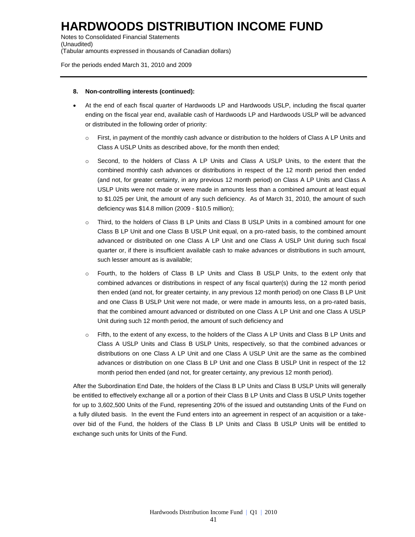Notes to Consolidated Financial Statements (Unaudited) (Tabular amounts expressed in thousands of Canadian dollars)

For the periods ended March 31, 2010 and 2009

### **8. Non-controlling interests (continued):**

- At the end of each fiscal quarter of Hardwoods LP and Hardwoods USLP, including the fiscal quarter ending on the fiscal year end, available cash of Hardwoods LP and Hardwoods USLP will be advanced or distributed in the following order of priority:
	- o First, in payment of the monthly cash advance or distribution to the holders of Class A LP Units and Class A USLP Units as described above, for the month then ended;
	- o Second, to the holders of Class A LP Units and Class A USLP Units, to the extent that the combined monthly cash advances or distributions in respect of the 12 month period then ended (and not, for greater certainty, in any previous 12 month period) on Class A LP Units and Class A USLP Units were not made or were made in amounts less than a combined amount at least equal to \$1.025 per Unit, the amount of any such deficiency. As of March 31, 2010, the amount of such deficiency was \$14.8 million (2009 - \$10.5 million);
	- o Third, to the holders of Class B LP Units and Class B USLP Units in a combined amount for one Class B LP Unit and one Class B USLP Unit equal, on a pro-rated basis, to the combined amount advanced or distributed on one Class A LP Unit and one Class A USLP Unit during such fiscal quarter or, if there is insufficient available cash to make advances or distributions in such amount, such lesser amount as is available;
	- o Fourth, to the holders of Class B LP Units and Class B USLP Units, to the extent only that combined advances or distributions in respect of any fiscal quarter(s) during the 12 month period then ended (and not, for greater certainty, in any previous 12 month period) on one Class B LP Unit and one Class B USLP Unit were not made, or were made in amounts less, on a pro-rated basis, that the combined amount advanced or distributed on one Class A LP Unit and one Class A USLP Unit during such 12 month period, the amount of such deficiency and
	- o Fifth, to the extent of any excess, to the holders of the Class A LP Units and Class B LP Units and Class A USLP Units and Class B USLP Units, respectively, so that the combined advances or distributions on one Class A LP Unit and one Class A USLP Unit are the same as the combined advances or distribution on one Class B LP Unit and one Class B USLP Unit in respect of the 12 month period then ended (and not, for greater certainty, any previous 12 month period).

After the Subordination End Date, the holders of the Class B LP Units and Class B USLP Units will generally be entitled to effectively exchange all or a portion of their Class B LP Units and Class B USLP Units together for up to 3,602,500 Units of the Fund, representing 20% of the issued and outstanding Units of the Fund on a fully diluted basis. In the event the Fund enters into an agreement in respect of an acquisition or a takeover bid of the Fund, the holders of the Class B LP Units and Class B USLP Units will be entitled to exchange such units for Units of the Fund.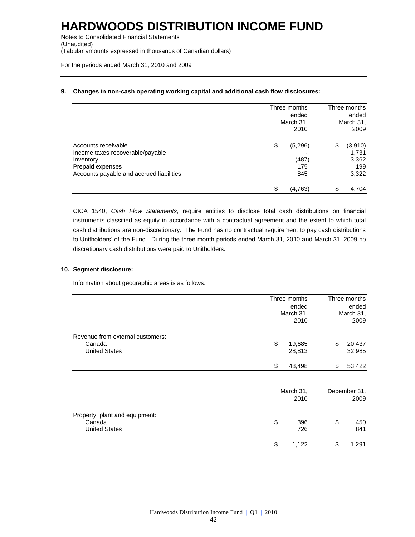Notes to Consolidated Financial Statements (Unaudited) (Tabular amounts expressed in thousands of Canadian dollars)

For the periods ended March 31, 2010 and 2009

### **9. Changes in non-cash operating working capital and additional cash flow disclosures:**

|                                                                                                                                      | Three months<br>ended<br>March 31,<br>2010 |                                | Three months<br>ended<br>March 31,<br>2009 |                                           |
|--------------------------------------------------------------------------------------------------------------------------------------|--------------------------------------------|--------------------------------|--------------------------------------------|-------------------------------------------|
| Accounts receivable<br>Income taxes recoverable/payable<br>Inventory<br>Prepaid expenses<br>Accounts payable and accrued liabilities | \$                                         | (5,296)<br>(487)<br>175<br>845 | S                                          | (3,910)<br>1,731<br>3,362<br>199<br>3,322 |
|                                                                                                                                      | \$                                         | (4,763)                        |                                            | 4.704                                     |

CICA 1540, *Cash Flow Statements*, require entities to disclose total cash distributions on financial instruments classified as equity in accordance with a contractual agreement and the extent to which total cash distributions are non-discretionary. The Fund has no contractual requirement to pay cash distributions to Unitholders' of the Fund. During the three month periods ended March 31, 2010 and March 31, 2009 no discretionary cash distributions were paid to Unitholders.

### **10. Segment disclosure:**

Information about geographic areas is as follows:

|                                                                    | Three months<br>ended<br>March 31,<br>2010 |                   | Three months<br>ended<br>March 31,<br>2009 |                  |
|--------------------------------------------------------------------|--------------------------------------------|-------------------|--------------------------------------------|------------------|
| Revenue from external customers:<br>Canada<br><b>United States</b> | \$                                         | 19,685<br>28,813  | \$                                         | 20,437<br>32,985 |
|                                                                    | \$                                         | 48,498            | \$                                         | 53,422           |
|                                                                    |                                            | March 31,<br>2010 | December 31,<br>2009                       |                  |
| Property, plant and equipment:<br>Canada<br><b>United States</b>   | \$                                         | 396<br>726        | \$                                         | 450<br>841       |
|                                                                    | \$                                         | 1,122             | \$                                         | 1,291            |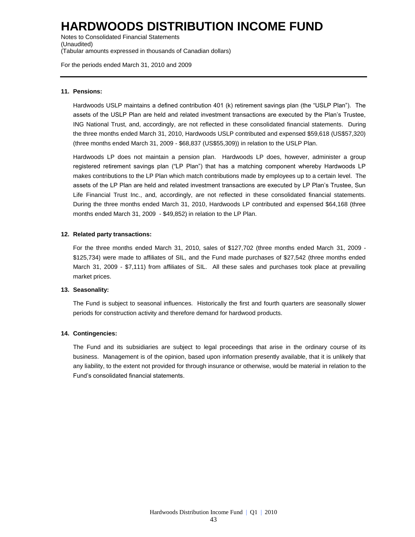Notes to Consolidated Financial Statements (Unaudited) (Tabular amounts expressed in thousands of Canadian dollars)

For the periods ended March 31, 2010 and 2009

### **11. Pensions:**

Hardwoods USLP maintains a defined contribution 401 (k) retirement savings plan (the "USLP Plan"). The assets of the USLP Plan are held and related investment transactions are executed by the Plan's Trustee, ING National Trust, and, accordingly, are not reflected in these consolidated financial statements. During the three months ended March 31, 2010, Hardwoods USLP contributed and expensed \$59,618 (US\$57,320) (three months ended March 31, 2009 - \$68,837 (US\$55,309)) in relation to the USLP Plan.

Hardwoods LP does not maintain a pension plan. Hardwoods LP does, however, administer a group registered retirement savings plan ("LP Plan") that has a matching component whereby Hardwoods LP makes contributions to the LP Plan which match contributions made by employees up to a certain level. The assets of the LP Plan are held and related investment transactions are executed by LP Plan's Trustee, Sun Life Financial Trust Inc., and, accordingly, are not reflected in these consolidated financial statements. During the three months ended March 31, 2010, Hardwoods LP contributed and expensed \$64,168 (three months ended March 31, 2009 - \$49,852) in relation to the LP Plan.

#### **12. Related party transactions:**

For the three months ended March 31, 2010, sales of \$127,702 (three months ended March 31, 2009 - \$125,734) were made to affiliates of SIL, and the Fund made purchases of \$27,542 (three months ended March 31, 2009 - \$7,111) from affiliates of SIL. All these sales and purchases took place at prevailing market prices.

#### **13. Seasonality:**

The Fund is subject to seasonal influences. Historically the first and fourth quarters are seasonally slower periods for construction activity and therefore demand for hardwood products.

#### **14. Contingencies:**

The Fund and its subsidiaries are subject to legal proceedings that arise in the ordinary course of its business. Management is of the opinion, based upon information presently available, that it is unlikely that any liability, to the extent not provided for through insurance or otherwise, would be material in relation to the Fund's consolidated financial statements.